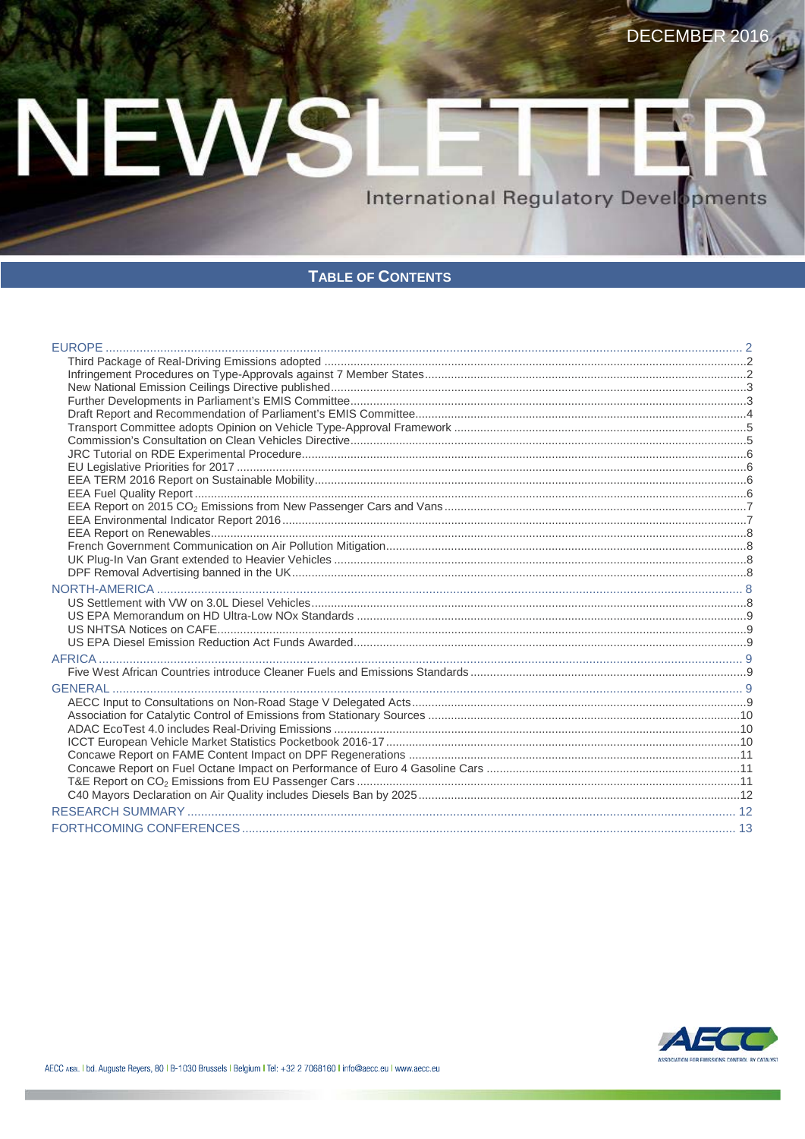# NEWS

**International Regulatory Devel** ppments

#### **TABLE OF CONTENTS**

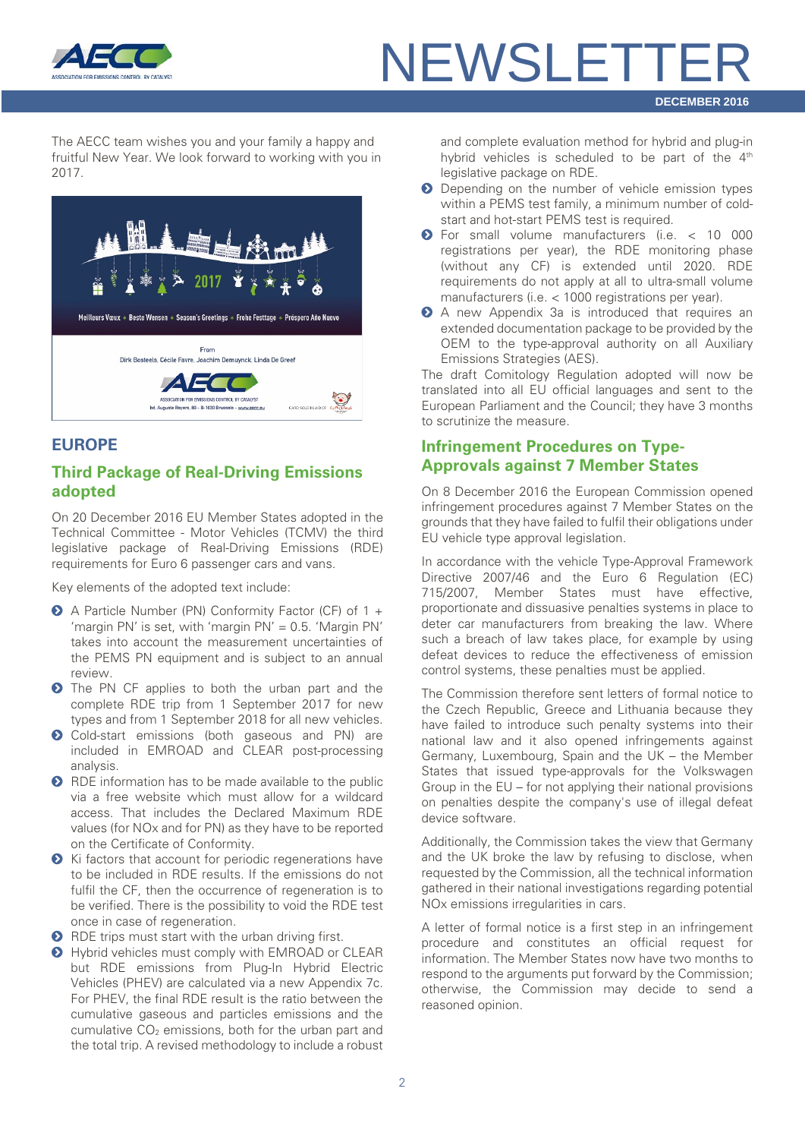

### **NEWSLETTE DECEMBER 2016**

The AECC team wishes you and your family a happy and fruitful New Year. We look forward to working with you in 2017.



#### <span id="page-1-0"></span>**EUROPE**

#### <span id="page-1-1"></span>**Third Package of Real-Driving Emissions adopted**

On 20 December 2016 EU Member States adopted in the Technical Committee - Motor Vehicles (TCMV) the third legislative package of Real-Driving Emissions (RDE) requirements for Euro 6 passenger cars and vans.

Key elements of the adopted text include:

- A Particle Number (PN) Conformity Factor (CF) of 1 + 'margin PN' is set, with 'margin PN' = 0.5. 'Margin PN' takes into account the measurement uncertainties of the PEMS PN equipment and is subject to an annual review.
- **O** The PN CF applies to both the urban part and the complete RDE trip from 1 September 2017 for new types and from 1 September 2018 for all new vehicles.
- Cold-start emissions (both gaseous and PN) are included in EMROAD and CLEAR post-processing analysis.
- **O** RDE information has to be made available to the public via a free website which must allow for a wildcard access. That includes the Declared Maximum RDE values (for NOx and for PN) as they have to be reported on the Certificate of Conformity.
- ◆ Ki factors that account for periodic regenerations have to be included in RDE results. If the emissions do not fulfil the CF, then the occurrence of regeneration is to be verified. There is the possibility to void the RDE test once in case of regeneration.
- **O** RDE trips must start with the urban driving first.
- $\bullet$  Hybrid vehicles must comply with EMROAD or CLEAR but RDE emissions from Plug-In Hybrid Electric Vehicles (PHEV) are calculated via a new Appendix 7c. For PHEV, the final RDE result is the ratio between the cumulative gaseous and particles emissions and the cumulative  $CO<sub>2</sub>$  emissions, both for the urban part and the total trip. A revised methodology to include a robust

and complete evaluation method for hybrid and plug-in hybrid vehicles is scheduled to be part of the  $4<sup>th</sup>$ legislative package on RDE.

- **O** Depending on the number of vehicle emission types within a PEMS test family, a minimum number of coldstart and hot-start PEMS test is required.
- For small volume manufacturers (i.e. < 10 000 registrations per year), the RDE monitoring phase (without any CF) is extended until 2020. RDE requirements do not apply at all to ultra-small volume manufacturers (i.e. < 1000 registrations per year).
- A new Appendix 3a is introduced that requires an extended documentation package to be provided by the OEM to the type-approval authority on all Auxiliary Emissions Strategies (AES).

The draft Comitology Regulation adopted will now be translated into all EU official languages and sent to the European Parliament and the Council; they have 3 months to scrutinize the measure.

#### <span id="page-1-2"></span>**Infringement Procedures on Type-Approvals against 7 Member States**

On 8 December 2016 the European Commission opened infringement procedures against 7 Member States on the grounds that they have failed to fulfil their obligations under EU vehicle type approval legislation.

In accordance with the vehicle Type-Approval Framework Directive 2007/46 and the Euro 6 Regulation (EC) 715/2007, Member States must have effective, proportionate and dissuasive penalties systems in place to deter car manufacturers from breaking the law. Where such a breach of law takes place, for example by using defeat devices to reduce the effectiveness of emission control systems, these penalties must be applied.

The Commission therefore sent letters of formal notice to the Czech Republic, Greece and Lithuania because they have failed to introduce such penalty systems into their national law and it also opened infringements against Germany, Luxembourg, Spain and the UK – the Member States that issued type-approvals for the Volkswagen Group in the EU – for not applying their national provisions on penalties despite the company's use of illegal defeat device software.

Additionally, the Commission takes the view that Germany and the UK broke the law by refusing to disclose, when requested by the Commission, all the technical information gathered in their national investigations regarding potential NOx emissions irregularities in cars.

A letter of formal notice is a first step in an infringement procedure and constitutes an official request for information. The Member States now have two months to respond to the arguments put forward by the Commission; otherwise, the Commission may decide to send a reasoned opinion.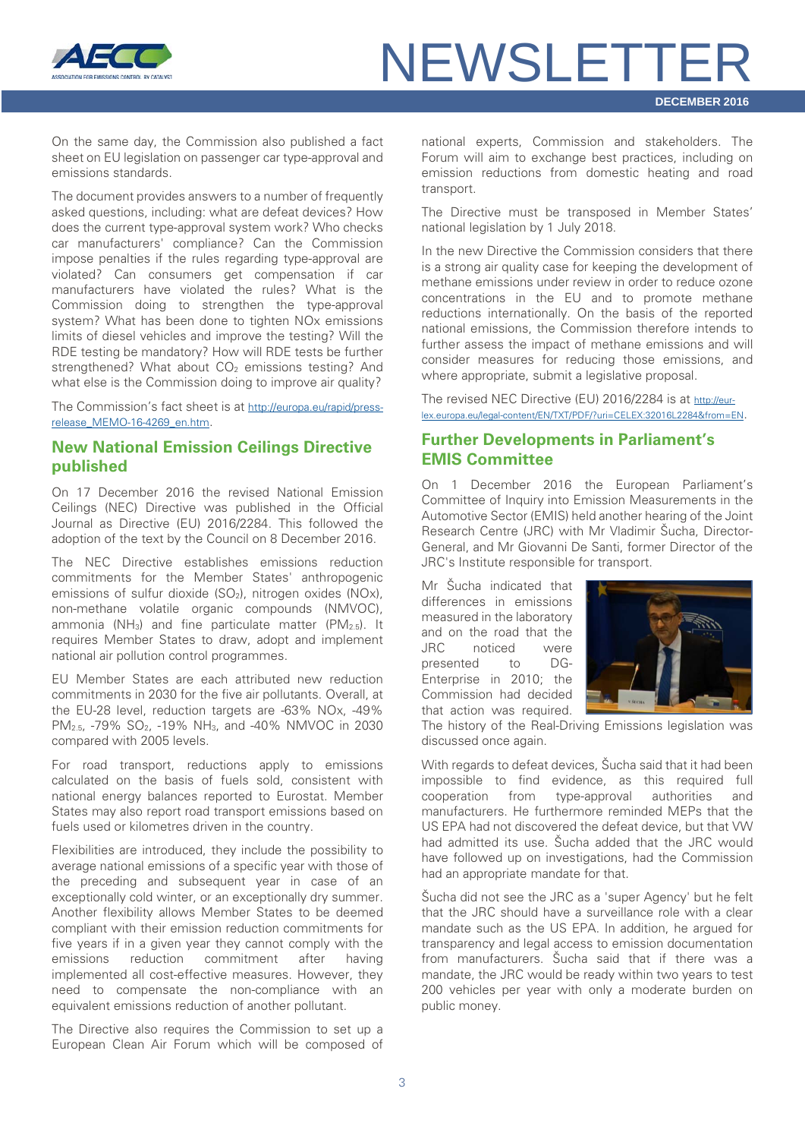

On the same day, the Commission also published a fact sheet on EU legislation on passenger car type-approval and emissions standards.

The document provides answers to a number of frequently asked questions, including: what are defeat devices? How does the current type-approval system work? Who checks car manufacturers' compliance? Can the Commission impose penalties if the rules regarding type-approval are violated? Can consumers get compensation if car manufacturers have violated the rules? What is the Commission doing to strengthen the type-approval system? What has been done to tighten NOx emissions limits of diesel vehicles and improve the testing? Will the RDE testing be mandatory? How will RDE tests be further strengthened? What about CO<sub>2</sub> emissions testing? And what else is the Commission doing to improve air quality?

The Commission's fact sheet is a[t http://europa.eu/rapid/press](http://europa.eu/rapid/press-release_MEMO-16-4269_en.htm)[release\\_MEMO-16-4269\\_en.htm.](http://europa.eu/rapid/press-release_MEMO-16-4269_en.htm)

#### <span id="page-2-0"></span>**New National Emission Ceilings Directive published**

On 17 December 2016 the revised National Emission Ceilings (NEC) Directive was published in the Official Journal as Directive (EU) 2016/2284. This followed the adoption of the text by the Council on 8 December 2016.

The NEC Directive establishes emissions reduction commitments for the Member States' anthropogenic emissions of sulfur dioxide (SO<sub>2</sub>), nitrogen oxides (NOx), non-methane volatile organic compounds (NMVOC), ammonia (NH<sub>3</sub>) and fine particulate matter (PM<sub>2.5</sub>). It requires Member States to draw, adopt and implement national air pollution control programmes.

EU Member States are each attributed new reduction commitments in 2030 for the five air pollutants. Overall, at the EU-28 level, reduction targets are -63% NOx, -49% PM2.5, -79% SO2, -19% NH3, and -40% NMVOC in 2030 compared with 2005 levels.

For road transport, reductions apply to emissions calculated on the basis of fuels sold, consistent with national energy balances reported to Eurostat. Member States may also report road transport emissions based on fuels used or kilometres driven in the country.

Flexibilities are introduced, they include the possibility to average national emissions of a specific year with those of the preceding and subsequent year in case of an exceptionally cold winter, or an exceptionally dry summer. Another flexibility allows Member States to be deemed compliant with their emission reduction commitments for five years if in a given year they cannot comply with the emissions reduction commitment after having implemented all cost-effective measures. However, they need to compensate the non-compliance with an equivalent emissions reduction of another pollutant.

The Directive also requires the Commission to set up a European Clean Air Forum which will be composed of national experts, Commission and stakeholders. The Forum will aim to exchange best practices, including on emission reductions from domestic heating and road transport.

The Directive must be transposed in Member States' national legislation by 1 July 2018.

In the new Directive the Commission considers that there is a strong air quality case for keeping the development of methane emissions under review in order to reduce ozone concentrations in the EU and to promote methane reductions internationally. On the basis of the reported national emissions, the Commission therefore intends to further assess the impact of methane emissions and will consider measures for reducing those emissions, and where appropriate, submit a legislative proposal.

The revised NEC Directive (EU) 2016/2284 is at [http://eur](http://eur-lex.europa.eu/legal-content/EN/TXT/PDF/?uri=CELEX:32016L2284&from=EN)[lex.europa.eu/legal-content/EN/TXT/PDF/?uri=CELEX:32016L2284&from=EN.](http://eur-lex.europa.eu/legal-content/EN/TXT/PDF/?uri=CELEX:32016L2284&from=EN)

#### <span id="page-2-1"></span>**Further Developments in Parliament's EMIS Committee**

On 1 December 2016 the European Parliament's Committee of Inquiry into Emission Measurements in the Automotive Sector (EMIS) held another hearing of the Joint Research Centre (JRC) with Mr Vladimir Šucha, Director-General, and Mr Giovanni De Santi, former Director of the JRC's Institute responsible for transport.

Mr Šucha indicated that differences in emissions measured in the laboratory and on the road that the JRC noticed were presented to DG-Enterprise in 2010; the Commission had decided that action was required.



The history of the Real-Driving Emissions legislation was discussed once again.

With regards to defeat devices, Šucha said that it had been impossible to find evidence, as this required full cooperation from type-approval authorities and manufacturers. He furthermore reminded MEPs that the US EPA had not discovered the defeat device, but that VW had admitted its use. Šucha added that the JRC would have followed up on investigations, had the Commission had an appropriate mandate for that.

Šucha did not see the JRC as a 'super Agency' but he felt that the JRC should have a surveillance role with a clear mandate such as the US EPA. In addition, he argued for transparency and legal access to emission documentation from manufacturers. Šucha said that if there was a mandate, the JRC would be ready within two years to test 200 vehicles per year with only a moderate burden on public money.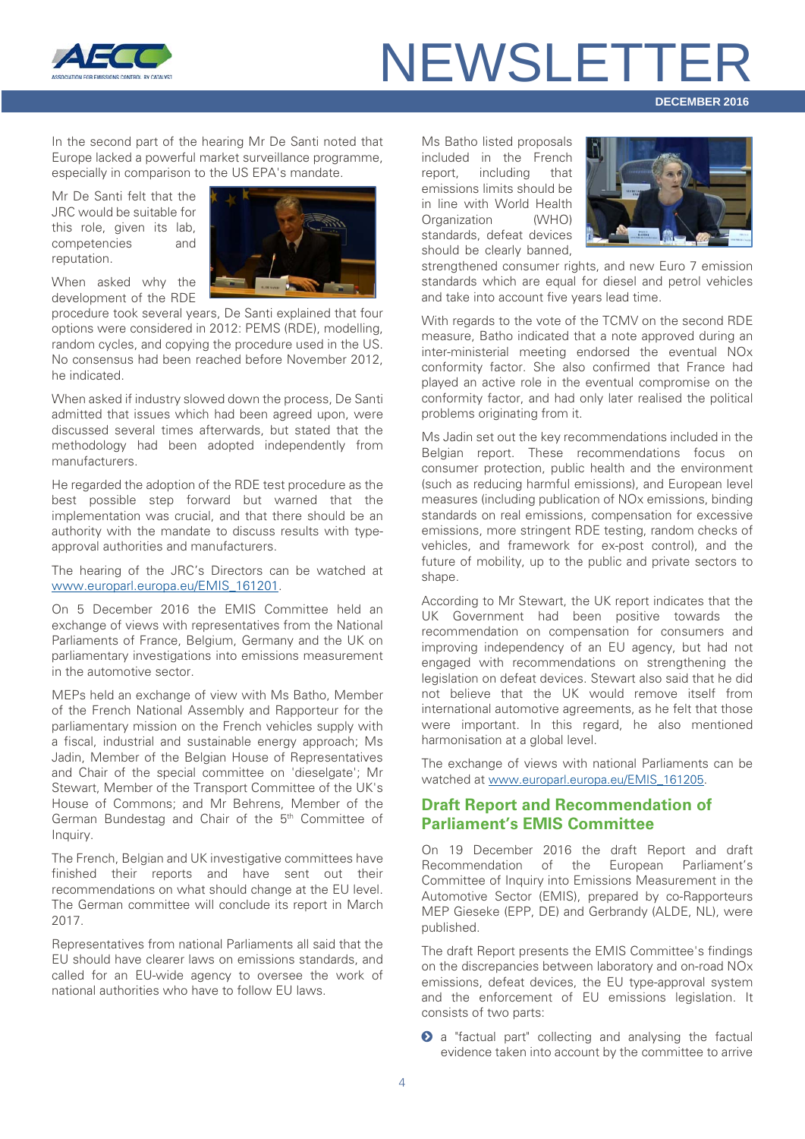

**DECEMBER 2016**

In the second part of the hearing Mr De Santi noted that Europe lacked a powerful market surveillance programme, especially in comparison to the US EPA's mandate.

Mr De Santi felt that the JRC would be suitable for this role, given its lab, competencies and reputation.



When asked why the development of the RDE

procedure took several years, De Santi explained that four options were considered in 2012: PEMS (RDE), modelling, random cycles, and copying the procedure used in the US. No consensus had been reached before November 2012, he indicated.

When asked if industry slowed down the process, De Santi admitted that issues which had been agreed upon, were discussed several times afterwards, but stated that the methodology had been adopted independently from manufacturers.

He regarded the adoption of the RDE test procedure as the best possible step forward but warned that the implementation was crucial, and that there should be an authority with the mandate to discuss results with typeapproval authorities and manufacturers.

The hearing of the JRC's Directors can be watched at [www.europarl.europa.eu/EMIS\\_161201.](http://www.europarl.europa.eu/news/en/news-room/20161123IPR52886/committee-of-inquiry-into-emission-measurements-in-the-automotive-sector)

On 5 December 2016 the EMIS Committee held an exchange of views with representatives from the National Parliaments of France, Belgium, Germany and the UK on parliamentary investigations into emissions measurement in the automotive sector.

MEPs held an exchange of view with Ms Batho, Member of the French National Assembly and Rapporteur for the parliamentary mission on the French vehicles supply with a fiscal, industrial and sustainable energy approach; Ms Jadin, Member of the Belgian House of Representatives and Chair of the special committee on 'dieselgate'; Mr Stewart, Member of the Transport Committee of the UK's House of Commons; and Mr Behrens, Member of the German Bundestag and Chair of the 5th Committee of Inquiry.

The French, Belgian and UK investigative committees have finished their reports and have sent out their recommendations on what should change at the EU level. The German committee will conclude its report in March 2017.

Representatives from national Parliaments all said that the EU should have clearer laws on emissions standards, and called for an EU-wide agency to oversee the work of national authorities who have to follow EU laws.

Ms Batho listed proposals included in the French report, including that emissions limits should be in line with World Health Organization (WHO) standards, defeat devices should be clearly banned,



strengthened consumer rights, and new Euro 7 emission standards which are equal for diesel and petrol vehicles and take into account five years lead time.

With regards to the vote of the TCMV on the second RDE measure, Batho indicated that a note approved during an inter-ministerial meeting endorsed the eventual NOx conformity factor. She also confirmed that France had played an active role in the eventual compromise on the conformity factor, and had only later realised the political problems originating from it.

Ms Jadin set out the key recommendations included in the Belgian report. These recommendations focus on consumer protection, public health and the environment (such as reducing harmful emissions), and European level measures (including publication of NOx emissions, binding standards on real emissions, compensation for excessive emissions, more stringent RDE testing, random checks of vehicles, and framework for ex-post control), and the future of mobility, up to the public and private sectors to shape.

According to Mr Stewart, the UK report indicates that the UK Government had been positive towards the recommendation on compensation for consumers and improving independency of an EU agency, but had not engaged with recommendations on strengthening the legislation on defeat devices. Stewart also said that he did not believe that the UK would remove itself from international automotive agreements, as he felt that those were important. In this regard, he also mentioned harmonisation at a global level.

The exchange of views with national Parliaments can be watched at [www.europarl.europa.eu/EMIS\\_161205.](http://www.europarl.europa.eu/news/en/news-room/20161130IPR53927/committee-of-inquiry-into-emission-measurements-in-the-automotive-sector)

#### <span id="page-3-0"></span>**Draft Report and Recommendation of Parliament's EMIS Committee**

On 19 December 2016 the draft Report and draft Recommendation of the European Parliament's Committee of Inquiry into Emissions Measurement in the Automotive Sector (EMIS), prepared by co-Rapporteurs MEP Gieseke (EPP, DE) and Gerbrandy (ALDE, NL), were published.

The draft Report presents the EMIS Committee's findings on the discrepancies between laboratory and on-road NOx emissions, defeat devices, the EU type-approval system and the enforcement of EU emissions legislation. It consists of two parts:

**2** a "factual part" collecting and analysing the factual evidence taken into account by the committee to arrive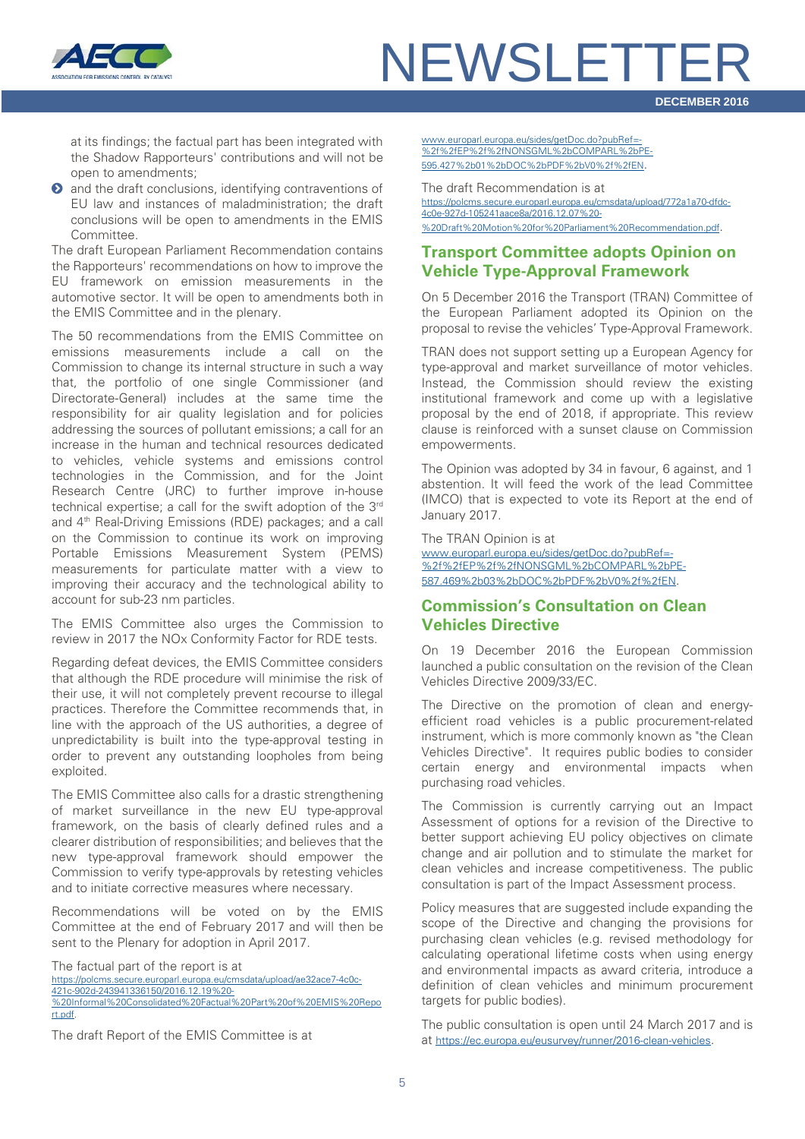

**DECEMBER 2016**

at its findings; the factual part has been integrated with the Shadow Rapporteurs' contributions and will not be open to amendments;

**2** and the draft conclusions, identifying contraventions of EU law and instances of maladministration; the draft conclusions will be open to amendments in the EMIS Committee.

The draft European Parliament Recommendation contains the Rapporteurs' recommendations on how to improve the EU framework on emission measurements in the automotive sector. It will be open to amendments both in the EMIS Committee and in the plenary.

The 50 recommendations from the EMIS Committee on emissions measurements include a call on the Commission to change its internal structure in such a way that, the portfolio of one single Commissioner (and Directorate-General) includes at the same time the responsibility for air quality legislation and for policies addressing the sources of pollutant emissions; a call for an increase in the human and technical resources dedicated to vehicles, vehicle systems and emissions control technologies in the Commission, and for the Joint Research Centre (JRC) to further improve in-house technical expertise; a call for the swift adoption of the 3rd and 4th Real-Driving Emissions (RDE) packages; and a call on the Commission to continue its work on improving Portable Emissions Measurement System (PEMS) measurements for particulate matter with a view to improving their accuracy and the technological ability to account for sub-23 nm particles.

The EMIS Committee also urges the Commission to review in 2017 the NOx Conformity Factor for RDE tests.

Regarding defeat devices, the EMIS Committee considers that although the RDE procedure will minimise the risk of their use, it will not completely prevent recourse to illegal practices. Therefore the Committee recommends that, in line with the approach of the US authorities, a degree of unpredictability is built into the type-approval testing in order to prevent any outstanding loopholes from being exploited.

The EMIS Committee also calls for a drastic strengthening of market surveillance in the new EU type-approval framework, on the basis of clearly defined rules and a clearer distribution of responsibilities; and believes that the new type-approval framework should empower the Commission to verify type-approvals by retesting vehicles and to initiate corrective measures where necessary.

Recommendations will be voted on by the EMIS Committee at the end of February 2017 and will then be sent to the Plenary for adoption in April 2017.

The factual part of the report is at [https://polcms.secure.europarl.europa.eu/cmsdata/upload/ae32ace7-4c0c-](https://polcms.secure.europarl.europa.eu/cmsdata/upload/ae32ace7-4c0c-421c-902d-243941336150/2016.12.19%20-%20Informal%20Consolidated%20Factual%20Part%20of%20EMIS%20Report.pdf)[421c-902d-243941336150/2016.12.19%20-](https://polcms.secure.europarl.europa.eu/cmsdata/upload/ae32ace7-4c0c-421c-902d-243941336150/2016.12.19%20-%20Informal%20Consolidated%20Factual%20Part%20of%20EMIS%20Report.pdf) [%20Informal%20Consolidated%20Factual%20Part%20of%20EMIS%20Repo](https://polcms.secure.europarl.europa.eu/cmsdata/upload/ae32ace7-4c0c-421c-902d-243941336150/2016.12.19%20-%20Informal%20Consolidated%20Factual%20Part%20of%20EMIS%20Report.pdf) [rt.pdf.](https://polcms.secure.europarl.europa.eu/cmsdata/upload/ae32ace7-4c0c-421c-902d-243941336150/2016.12.19%20-%20Informal%20Consolidated%20Factual%20Part%20of%20EMIS%20Report.pdf)

The draft Report of the EMIS Committee is at

[www.europarl.europa.eu/sides/getDoc.do?pubRef=-](http://www.europarl.europa.eu/sides/getDoc.do?pubRef=-%2f%2fEP%2f%2fNONSGML%2bCOMPARL%2bPE-595.427%2b01%2bDOC%2bPDF%2bV0%2f%2fEN) [%2f%2fEP%2f%2fNONSGML%2bCOMPARL%2bPE-](http://www.europarl.europa.eu/sides/getDoc.do?pubRef=-%2f%2fEP%2f%2fNONSGML%2bCOMPARL%2bPE-595.427%2b01%2bDOC%2bPDF%2bV0%2f%2fEN)[595.427%2b01%2bDOC%2bPDF%2bV0%2f%2fEN.](http://www.europarl.europa.eu/sides/getDoc.do?pubRef=-%2f%2fEP%2f%2fNONSGML%2bCOMPARL%2bPE-595.427%2b01%2bDOC%2bPDF%2bV0%2f%2fEN) 

The draft Recommendation is at [https://polcms.secure.europarl.europa.eu/cmsdata/upload/772a1a70-dfdc-](https://polcms.secure.europarl.europa.eu/cmsdata/upload/772a1a70-dfdc-4c0e-927d-105241aace8a/2016.12.07%20-%20Draft%20Motion%20for%20Parliament%20Recommendation.pdf)[4c0e-927d-105241aace8a/2016.12.07%20-](https://polcms.secure.europarl.europa.eu/cmsdata/upload/772a1a70-dfdc-4c0e-927d-105241aace8a/2016.12.07%20-%20Draft%20Motion%20for%20Parliament%20Recommendation.pdf) [%20Draft%20Motion%20for%20Parliament%20Recommendation.pdf.](https://polcms.secure.europarl.europa.eu/cmsdata/upload/772a1a70-dfdc-4c0e-927d-105241aace8a/2016.12.07%20-%20Draft%20Motion%20for%20Parliament%20Recommendation.pdf) 

#### <span id="page-4-0"></span>**Transport Committee adopts Opinion on Vehicle Type-Approval Framework**

On 5 December 2016 the Transport (TRAN) Committee of the European Parliament adopted its Opinion on the proposal to revise the vehicles' Type-Approval Framework.

TRAN does not support setting up a European Agency for type-approval and market surveillance of motor vehicles. Instead, the Commission should review the existing institutional framework and come up with a legislative proposal by the end of 2018, if appropriate. This review clause is reinforced with a sunset clause on Commission empowerments.

The Opinion was adopted by 34 in favour, 6 against, and 1 abstention. It will feed the work of the lead Committee (IMCO) that is expected to vote its Report at the end of January 2017.

The TRAN Opinion is at [www.europarl.europa.eu/sides/getDoc.do?pubRef=-](http://www.europarl.europa.eu/sides/getDoc.do?pubRef=-%2f%2fEP%2f%2fNONSGML%2bCOMPARL%2bPE-587.469%2b03%2bDOC%2bPDF%2bV0%2f%2fEN) [%2f%2fEP%2f%2fNONSGML%2bCOMPARL%2bPE-](http://www.europarl.europa.eu/sides/getDoc.do?pubRef=-%2f%2fEP%2f%2fNONSGML%2bCOMPARL%2bPE-587.469%2b03%2bDOC%2bPDF%2bV0%2f%2fEN)[587.469%2b03%2bDOC%2bPDF%2bV0%2f%2fEN.](http://www.europarl.europa.eu/sides/getDoc.do?pubRef=-%2f%2fEP%2f%2fNONSGML%2bCOMPARL%2bPE-587.469%2b03%2bDOC%2bPDF%2bV0%2f%2fEN)

#### <span id="page-4-1"></span>**Commission's Consultation on Clean Vehicles Directive**

On 19 December 2016 the European Commission launched a public consultation on the revision of the Clean Vehicles Directive 2009/33/EC.

The Directive on the promotion of clean and energyefficient road vehicles is a public procurement-related instrument, which is more commonly known as "the Clean Vehicles Directive". It requires public bodies to consider certain energy and environmental impacts when purchasing road vehicles.

The Commission is currently carrying out an Impact Assessment of options for a revision of the Directive to better support achieving EU policy objectives on climate change and air pollution and to stimulate the market for clean vehicles and increase competitiveness. The public consultation is part of the Impact Assessment process.

Policy measures that are suggested include expanding the scope of the Directive and changing the provisions for purchasing clean vehicles (e.g. revised methodology for calculating operational lifetime costs when using energy and environmental impacts as award criteria, introduce a definition of clean vehicles and minimum procurement targets for public bodies).

The public consultation is open until 24 March 2017 and is at [https://ec.europa.eu/eusurvey/runner/2016-clean-vehicles.](https://ec.europa.eu/eusurvey/runner/2016-clean-vehicles)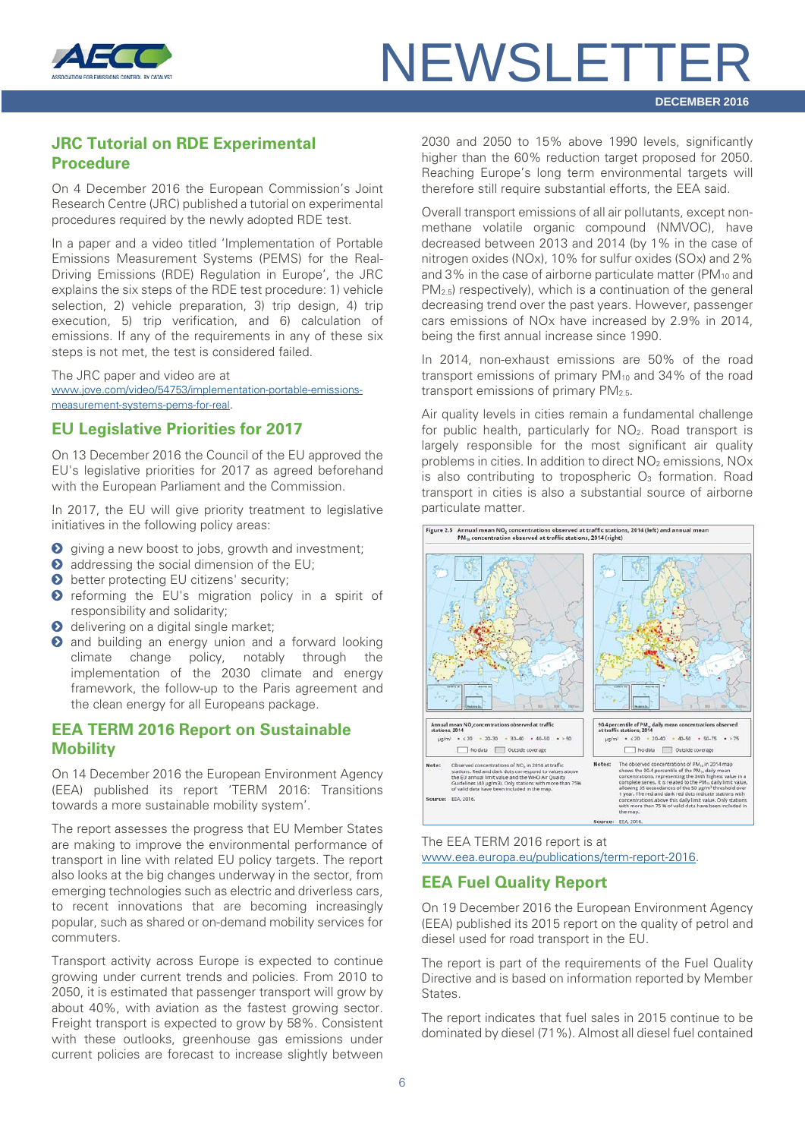

#### <span id="page-5-0"></span>**JRC Tutorial on RDE Experimental Procedure**

On 4 December 2016 the European Commission's Joint Research Centre (JRC) published a tutorial on experimental procedures required by the newly adopted RDE test.

In a paper and a video titled 'Implementation of Portable Emissions Measurement Systems (PEMS) for the Real-Driving Emissions (RDE) Regulation in Europe', the JRC explains the six steps of the RDE test procedure: 1) vehicle selection, 2) vehicle preparation, 3) trip design, 4) trip execution, 5) trip verification, and 6) calculation of emissions. If any of the requirements in any of these six steps is not met, the test is considered failed.

The JRC paper and video are at [www.jove.com/video/54753/implementation-portable-emissions](http://www.jove.com/video/54753/implementation-portable-emissions-measurement-systems-pems-for-real)[measurement-systems-pems-for-real.](http://www.jove.com/video/54753/implementation-portable-emissions-measurement-systems-pems-for-real)

#### <span id="page-5-1"></span>**EU Legislative Priorities for 2017**

On 13 December 2016 the Council of the EU approved the EU's legislative priorities for 2017 as agreed beforehand with the European Parliament and the Commission.

In 2017, the EU will give priority treatment to legislative initiatives in the following policy areas:

- **O** giving a new boost to jobs, growth and investment;
- $\bullet$  addressing the social dimension of the EU;
- **b** better protecting EU citizens' security;
- **O** reforming the EU's migration policy in a spirit of responsibility and solidarity;
- **O** delivering on a digital single market;
- **O** and building an energy union and a forward looking climate change policy, notably through the implementation of the 2030 climate and energy framework, the follow-up to the Paris agreement and the clean energy for all Europeans package.

#### <span id="page-5-2"></span>**EEA TERM 2016 Report on Sustainable Mobility**

On 14 December 2016 the European Environment Agency (EEA) published its report 'TERM 2016: Transitions towards a more sustainable mobility system'.

The report assesses the progress that EU Member States are making to improve the environmental performance of transport in line with related EU policy targets. The report also looks at the big changes underway in the sector, from emerging technologies such as electric and driverless cars, to recent innovations that are becoming increasingly popular, such as shared or on-demand mobility services for commuters.

Transport activity across Europe is expected to continue growing under current trends and policies. From 2010 to 2050, it is estimated that passenger transport will grow by about 40%, with aviation as the fastest growing sector. Freight transport is expected to grow by 58%. Consistent with these outlooks, greenhouse gas emissions under current policies are forecast to increase slightly between 2030 and 2050 to 15% above 1990 levels, significantly higher than the 60% reduction target proposed for 2050. Reaching Europe's long term environmental targets will therefore still require substantial efforts, the EEA said.

Overall transport emissions of all air pollutants, except nonmethane volatile organic compound (NMVOC), have decreased between 2013 and 2014 (by 1% in the case of nitrogen oxides (NOx), 10% for sulfur oxides (SOx) and 2% and 3% in the case of airborne particulate matter (PM<sub>10</sub> and PM2.5) respectively), which is a continuation of the general decreasing trend over the past years. However, passenger cars emissions of NOx have increased by 2.9% in 2014, being the first annual increase since 1990.

In 2014, non-exhaust emissions are 50% of the road transport emissions of primary PM<sub>10</sub> and 34% of the road transport emissions of primary  $PM_{2.5}$ .

Air quality levels in cities remain a fundamental challenge for public health, particularly for  $NO<sub>2</sub>$ . Road transport is largely responsible for the most significant air quality problems in cities. In addition to direct NO<sub>2</sub> emissions, NO<sub>x</sub> is also contributing to tropospheric  $O<sub>3</sub>$  formation. Road transport in cities is also a substantial source of airborne particulate matter.



#### The EEA TERM 2016 report is at [www.eea.europa.eu/publications/term-report-2016.](http://www.eea.europa.eu/publications/term-report-2016)

#### <span id="page-5-3"></span>**EEA Fuel Quality Report**

On 19 December 2016 the European Environment Agency (EEA) published its 2015 report on the quality of petrol and diesel used for road transport in the EU.

The report is part of the requirements of the Fuel Quality Directive and is based on information reported by Member States.

The report indicates that fuel sales in 2015 continue to be dominated by diesel (71%). Almost all diesel fuel contained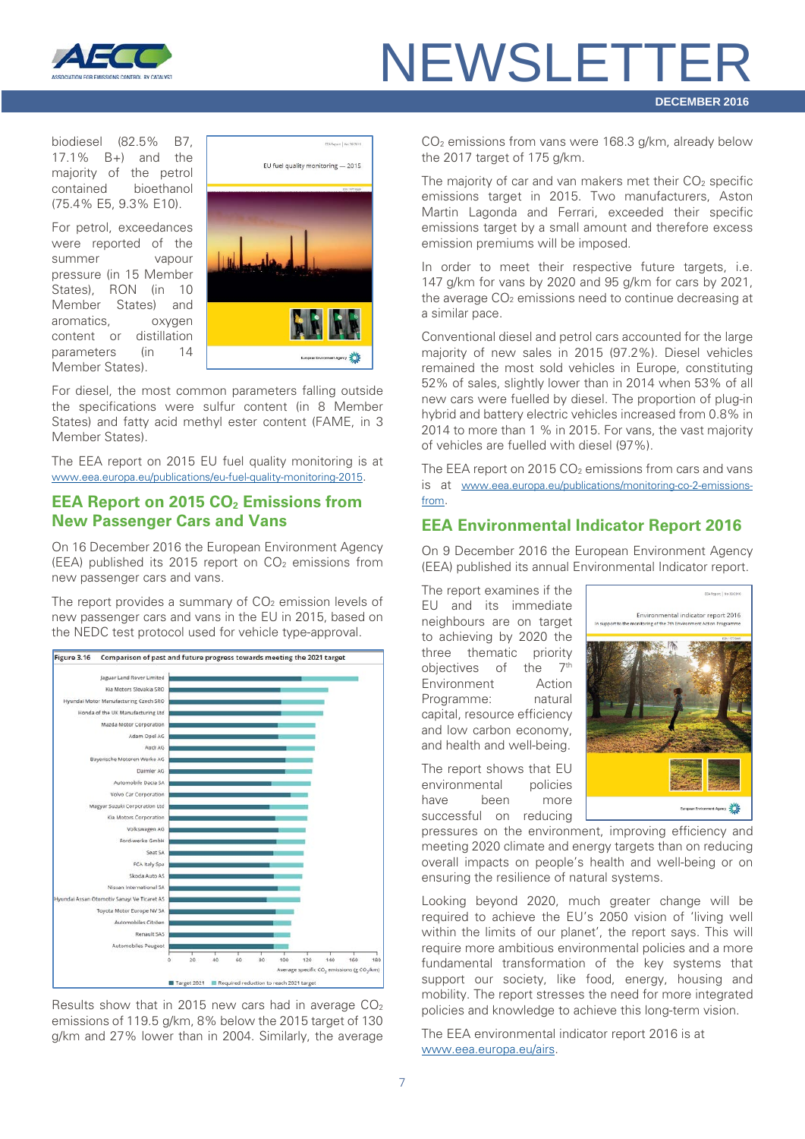

biodiesel (82.5% B7, 17.1% B+) and the majority of the petrol contained bioethanol (75.4% E5, 9.3% E10).

For petrol, exceedances were reported of the summer vapour pressure (in 15 Member States), RON (in 10 Member States) and aromatics, oxygen content or distillation parameters (in 14 Member States).



For diesel, the most common parameters falling outside the specifications were sulfur content (in 8 Member States) and fatty acid methyl ester content (FAME, in 3 Member States).

The EEA report on 2015 EU fuel quality monitoring is at [www.eea.europa.eu/publications/eu-fuel-quality-monitoring-2015.](http://www.eea.europa.eu/publications/eu-fuel-quality-monitoring-2015)

#### <span id="page-6-0"></span>**EEA Report on 2015 CO<sub>2</sub> Emissions from New Passenger Cars and Vans**

On 16 December 2016 the European Environment Agency (EEA) published its 2015 report on  $CO<sub>2</sub>$  emissions from new passenger cars and vans.

The report provides a summary of  $CO<sub>2</sub>$  emission levels of new passenger cars and vans in the EU in 2015, based on the NEDC test protocol used for vehicle type-approval.



Results show that in 2015 new cars had in average CO2 emissions of 119.5 g/km, 8% below the 2015 target of 130 g/km and 27% lower than in 2004. Similarly, the average

CO2 emissions from vans were 168.3 g/km, already below the 2017 target of 175 g/km.

The majority of car and van makers met their  $CO<sub>2</sub>$  specific emissions target in 2015. Two manufacturers, Aston Martin Lagonda and Ferrari, exceeded their specific emissions target by a small amount and therefore excess emission premiums will be imposed.

In order to meet their respective future targets, i.e. 147 g/km for vans by 2020 and 95 g/km for cars by 2021, the average  $CO<sub>2</sub>$  emissions need to continue decreasing at a similar pace.

Conventional diesel and petrol cars accounted for the large majority of new sales in 2015 (97.2%). Diesel vehicles remained the most sold vehicles in Europe, constituting 52% of sales, slightly lower than in 2014 when 53% of all new cars were fuelled by diesel. The proportion of plug-in hybrid and battery electric vehicles increased from 0.8% in 2014 to more than 1 % in 2015. For vans, the vast majority of vehicles are fuelled with diesel (97%).

The EEA report on 2015  $CO<sub>2</sub>$  emissions from cars and vans is at [www.eea.europa.eu/publications/monitoring-co-2-emissions](http://www.eea.europa.eu/publications/monitoring-co-2-emissions-from)[from.](http://www.eea.europa.eu/publications/monitoring-co-2-emissions-from)

#### <span id="page-6-1"></span>**EEA Environmental Indicator Report 2016**

On 9 December 2016 the European Environment Agency (EEA) published its annual Environmental Indicator report.

The report examines if the EU and its immediate neighbours are on target to achieving by 2020 the three thematic priority objectives of the  $7<sup>th</sup>$ Environment Action Programme: natural capital, resource efficiency and low carbon economy, and health and well-being.

The report shows that EU environmental policies have been more successful on reducing



pressures on the environment, improving efficiency and meeting 2020 climate and energy targets than on reducing overall impacts on people's health and well-being or on ensuring the resilience of natural systems.

Looking beyond 2020, much greater change will be required to achieve the EU's 2050 vision of 'living well within the limits of our planet', the report says. This will require more ambitious environmental policies and a more fundamental transformation of the key systems that support our society, like food, energy, housing and mobility. The report stresses the need for more integrated policies and knowledge to achieve this long-term vision.

The EEA environmental indicator report 2016 is at [www.eea.europa.eu/airs.](http://www.eea.europa.eu/airs)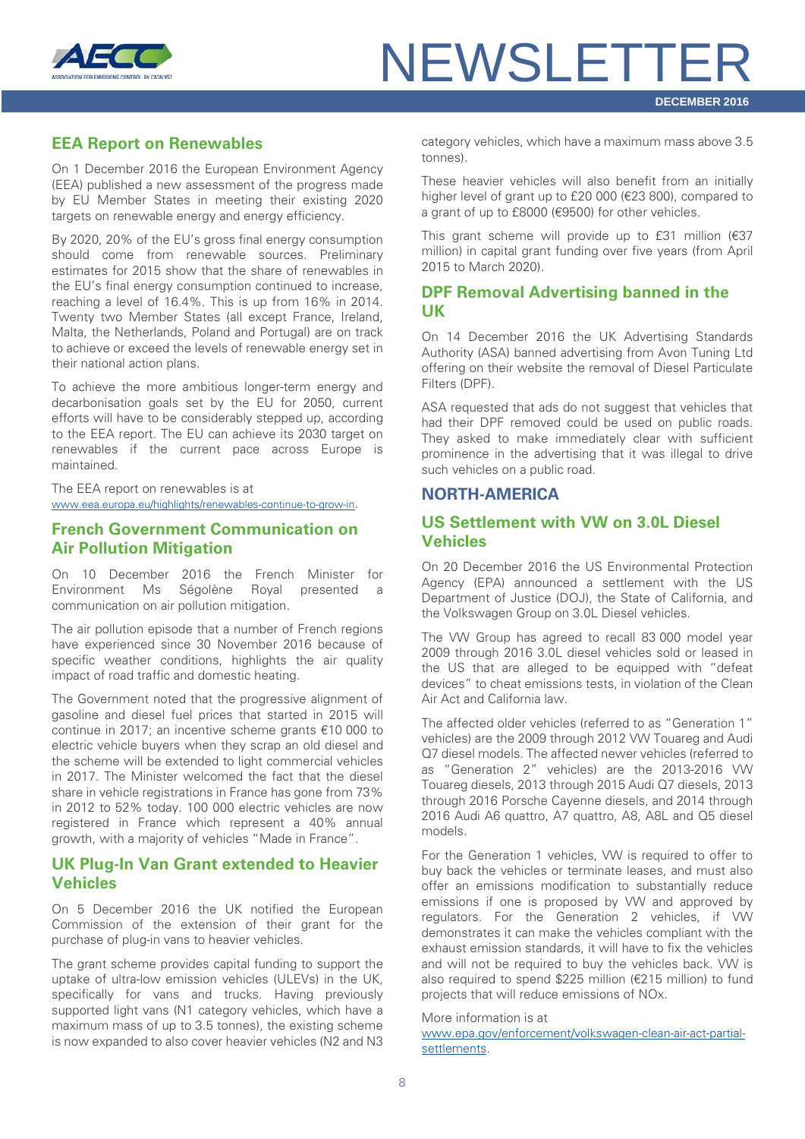

#### <span id="page-7-0"></span>**EEA Report on Renewables**

On 1 December 2016 the European Environment Agency (EEA) published a new assessment of the progress made by EU Member States in meeting their existing 2020 targets on renewable energy and energy efficiency.

By 2020, 20% of the EU's gross final energy consumption should come from renewable sources. Preliminary estimates for 2015 show that the share of renewables in the EU's final energy consumption continued to increase, reaching a level of 16.4%. This is up from 16% in 2014. Twenty two Member States (all except France, Ireland, Malta, the Netherlands, Poland and Portugal) are on track to achieve or exceed the levels of renewable energy set in their national action plans.

To achieve the more ambitious longer-term energy and decarbonisation goals set by the EU for 2050, current efforts will have to be considerably stepped up, according to the EEA report. The EU can achieve its 2030 target on renewables if the current pace across Europe is maintained.

The EEA report on renewables is at [www.eea.europa.eu/highlights/renewables-continue-to-grow-in.](http://www.eea.europa.eu/highlights/renewables-continue-to-grow-in)

#### <span id="page-7-1"></span>**French Government Communication on Air Pollution Mitigation**

On 10 December 2016 the French Minister for Environment Ms Ségolène Royal presented a communication on air pollution mitigation.

The air pollution episode that a number of French regions have experienced since 30 November 2016 because of specific weather conditions, highlights the air quality impact of road traffic and domestic heating.

The Government noted that the progressive alignment of gasoline and diesel fuel prices that started in 2015 will continue in 2017; an incentive scheme grants €10 000 to electric vehicle buyers when they scrap an old diesel and the scheme will be extended to light commercial vehicles in 2017. The Minister welcomed the fact that the diesel share in vehicle registrations in France has gone from 73% in 2012 to 52% today. 100 000 electric vehicles are now registered in France which represent a 40% annual growth, with a majority of vehicles "Made in France".

#### <span id="page-7-2"></span>**UK Plug-In Van Grant extended to Heavier Vehicles**

On 5 December 2016 the UK notified the European Commission of the extension of their grant for the purchase of plug-in vans to heavier vehicles.

The grant scheme provides capital funding to support the uptake of ultra-low emission vehicles (ULEVs) in the UK, specifically for vans and trucks. Having previously supported light vans (N1 category vehicles, which have a maximum mass of up to 3.5 tonnes), the existing scheme is now expanded to also cover heavier vehicles (N2 and N3 category vehicles, which have a maximum mass above 3.5 tonnes).

These heavier vehicles will also benefit from an initially higher level of grant up to £20 000 (€23 800), compared to a grant of up to £8000 (€9500) for other vehicles.

This grant scheme will provide up to £31 million  $(E37)$ million) in capital grant funding over five years (from April 2015 to March 2020).

#### <span id="page-7-3"></span>**DPF Removal Advertising banned in the UK**

On 14 December 2016 the UK Advertising Standards Authority (ASA) banned advertising from Avon Tuning Ltd offering on their website the removal of Diesel Particulate Filters (DPF).

ASA requested that ads do not suggest that vehicles that had their DPF removed could be used on public roads. They asked to make immediately clear with sufficient prominence in the advertising that it was illegal to drive such vehicles on a public road.

#### <span id="page-7-4"></span>**NORTH-AMERICA**

#### <span id="page-7-5"></span>**US Settlement with VW on 3.0L Diesel Vehicles**

On 20 December 2016 the US Environmental Protection Agency (EPA) announced a settlement with the US Department of Justice (DOJ), the State of California, and the Volkswagen Group on 3.0L Diesel vehicles.

The VW Group has agreed to recall 83 000 model year 2009 through 2016 3.0L diesel vehicles sold or leased in the US that are alleged to be equipped with "defeat devices" to cheat emissions tests, in violation of the Clean Air Act and California law.

The affected older vehicles (referred to as "Generation 1" vehicles) are the 2009 through 2012 VW Touareg and Audi Q7 diesel models. The affected newer vehicles (referred to as "Generation 2" vehicles) are the 2013-2016 VW Touareg diesels, 2013 through 2015 Audi Q7 diesels, 2013 through 2016 Porsche Cayenne diesels, and 2014 through 2016 Audi A6 quattro, A7 quattro, A8, A8L and Q5 diesel models.

For the Generation 1 vehicles, VW is required to offer to buy back the vehicles or terminate leases, and must also offer an emissions modification to substantially reduce emissions if one is proposed by VW and approved by regulators. For the Generation 2 vehicles, if VW demonstrates it can make the vehicles compliant with the exhaust emission standards, it will have to fix the vehicles and will not be required to buy the vehicles back. VW is also required to spend \$225 million (€215 million) to fund projects that will reduce emissions of NOx.

#### More information is at

[www.epa.gov/enforcement/volkswagen-clean-air-act-partial](http://www.epa.gov/enforcement/volkswagen-clean-air-act-partial-settlements)[settlements.](http://www.epa.gov/enforcement/volkswagen-clean-air-act-partial-settlements)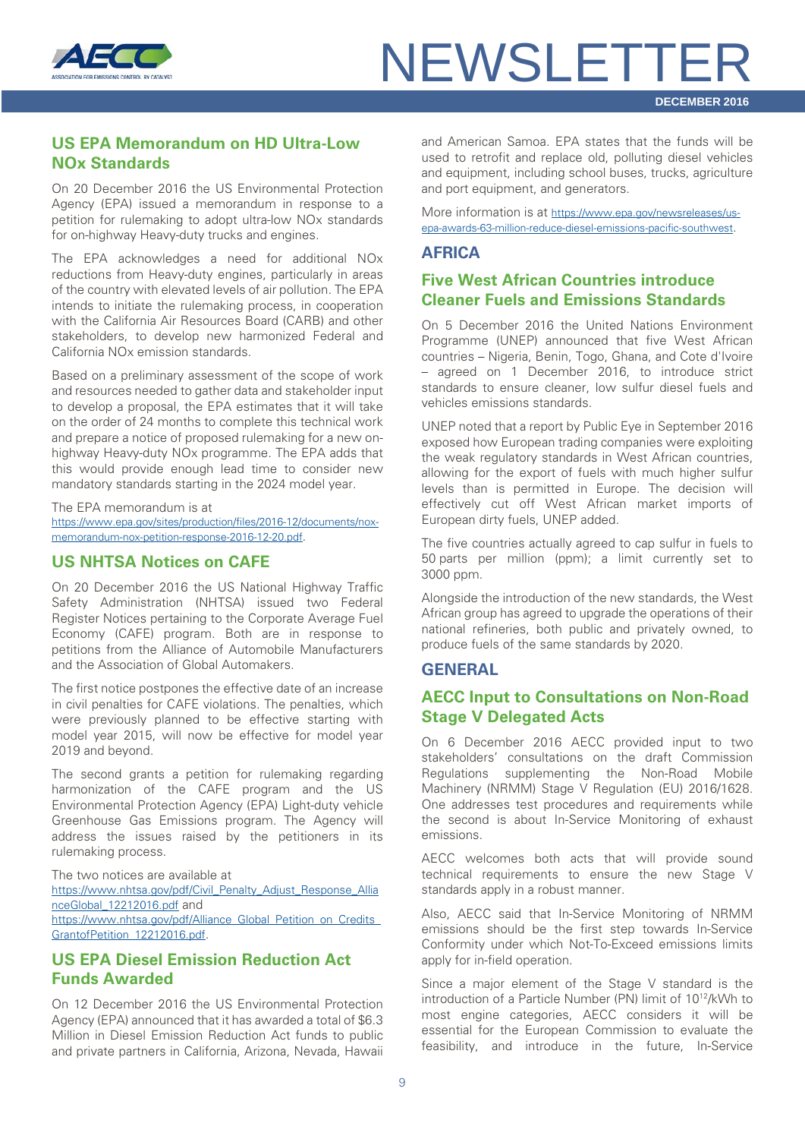

#### <span id="page-8-0"></span>**US EPA Memorandum on HD Ultra-Low NOx Standards**

On 20 December 2016 the US Environmental Protection Agency (EPA) issued a memorandum in response to a petition for rulemaking to adopt ultra-low NOx standards for on-highway Heavy-duty trucks and engines.

The EPA acknowledges a need for additional NOx reductions from Heavy-duty engines, particularly in areas of the country with elevated levels of air pollution. The EPA intends to initiate the rulemaking process, in cooperation with the California Air Resources Board (CARB) and other stakeholders, to develop new harmonized Federal and California NOx emission standards.

Based on a preliminary assessment of the scope of work and resources needed to gather data and stakeholder input to develop a proposal, the EPA estimates that it will take on the order of 24 months to complete this technical work and prepare a notice of proposed rulemaking for a new onhighway Heavy-duty NOx programme. The EPA adds that this would provide enough lead time to consider new mandatory standards starting in the 2024 model year.

The EPA memorandum is at [https://www.epa.gov/sites/production/files/2016-12/documents/nox](https://www.epa.gov/sites/production/files/2016-12/documents/nox-memorandum-nox-petition-response-2016-12-20.pdf)[memorandum-nox-petition-response-2016-12-20.pdf.](https://www.epa.gov/sites/production/files/2016-12/documents/nox-memorandum-nox-petition-response-2016-12-20.pdf)

#### <span id="page-8-1"></span>**US NHTSA Notices on CAFE**

On 20 December 2016 the US National Highway Traffic Safety Administration (NHTSA) issued two Federal Register Notices pertaining to the Corporate Average Fuel Economy (CAFE) program. Both are in response to petitions from the Alliance of Automobile Manufacturers and the Association of Global Automakers.

The first notice postpones the effective date of an increase in civil penalties for CAFE violations. The penalties, which were previously planned to be effective starting with model year 2015, will now be effective for model year 2019 and beyond.

The second grants a petition for rulemaking regarding harmonization of the CAFE program and the US Environmental Protection Agency (EPA) Light-duty vehicle Greenhouse Gas Emissions program. The Agency will address the issues raised by the petitioners in its rulemaking process.

The two notices are available at

[https://www.nhtsa.gov/pdf/Civil\\_Penalty\\_Adjust\\_Response\\_Allia](https://www.nhtsa.gov/pdf/Civil_Penalty_Adjust_Response_AllianceGlobal_12212016.pdf) [nceGlobal\\_12212016.pdf](https://www.nhtsa.gov/pdf/Civil_Penalty_Adjust_Response_AllianceGlobal_12212016.pdf) and

https://www.nhtsa.gov/pdf/Alliance\_Global\_Petition\_on\_Credits [GrantofPetition\\_12212016.pdf.](https://www.nhtsa.gov/pdf/Alliance_Global_Petition_on_Credits_GrantofPetition_12212016.pdf)

#### <span id="page-8-2"></span>**US EPA Diesel Emission Reduction Act Funds Awarded**

On 12 December 2016 the US Environmental Protection Agency (EPA) announced that it has awarded a total of \$6.3 Million in Diesel Emission Reduction Act funds to public and private partners in California, Arizona, Nevada, Hawaii and American Samoa. EPA states that the funds will be used to retrofit and replace old, polluting diesel vehicles and equipment, including school buses, trucks, agriculture and port equipment, and generators.

More information is at [https://www.epa.gov/newsreleases/us](https://www.epa.gov/newsreleases/us-epa-awards-63-million-reduce-diesel-emissions-pacific-southwest)[epa-awards-63-million-reduce-diesel-emissions-pacific-southwest.](https://www.epa.gov/newsreleases/us-epa-awards-63-million-reduce-diesel-emissions-pacific-southwest)

#### <span id="page-8-3"></span>**AFRICA**

#### <span id="page-8-4"></span>**Five West African Countries introduce Cleaner Fuels and Emissions Standards**

On 5 December 2016 the United Nations Environment Programme (UNEP) announced that five West African countries – Nigeria, Benin, Togo, Ghana, and Cote d'Ivoire – agreed on 1 December 2016, to introduce strict standards to ensure cleaner, low sulfur diesel fuels and vehicles emissions standards.

UNEP noted that a report by Public Eye in September 2016 exposed how European trading companies were exploiting the weak regulatory standards in West African countries, allowing for the export of fuels with much higher sulfur levels than is permitted in Europe. The decision will effectively cut off West African market imports of European dirty fuels, UNEP added.

The five countries actually agreed to cap sulfur in fuels to 50 parts per million (ppm); a limit currently set to 3000 ppm.

Alongside the introduction of the new standards, the West African group has agreed to upgrade the operations of their national refineries, both public and privately owned, to produce fuels of the same standards by 2020.

#### <span id="page-8-5"></span>**GENERAL**

#### <span id="page-8-6"></span>**AECC Input to Consultations on Non-Road Stage V Delegated Acts**

On 6 December 2016 AECC provided input to two stakeholders' consultations on the draft Commission Regulations supplementing the Non-Road Mobile Machinery (NRMM) Stage V Regulation (EU) 2016/1628. One addresses test procedures and requirements while the second is about In-Service Monitoring of exhaust emissions.

AECC welcomes both acts that will provide sound technical requirements to ensure the new Stage V standards apply in a robust manner.

Also, AECC said that In-Service Monitoring of NRMM emissions should be the first step towards In-Service Conformity under which Not-To-Exceed emissions limits apply for in-field operation.

Since a major element of the Stage V standard is the introduction of a Particle Number (PN) limit of 1012/kWh to most engine categories, AECC considers it will be essential for the European Commission to evaluate the feasibility, and introduce in the future, In-Service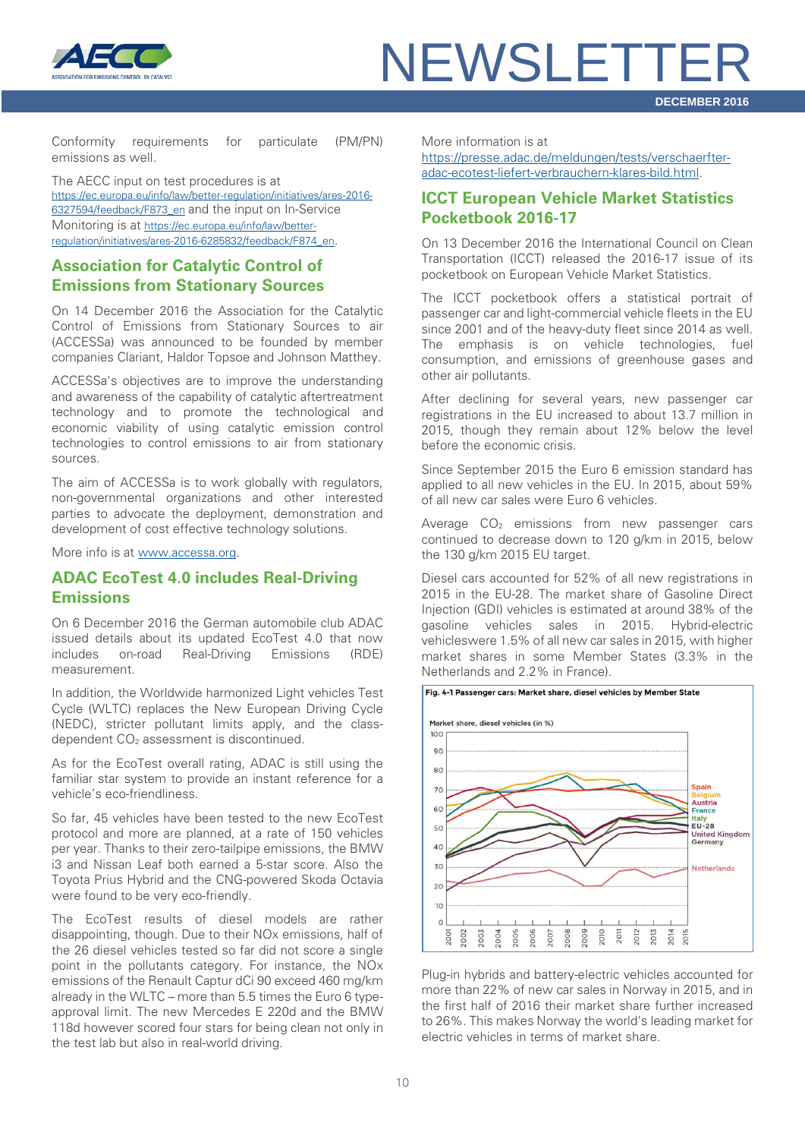

Conformity requirements for particulate (PM/PN) emissions as well.

The AECC input on test procedures is at [https://ec.europa.eu/info/law/better-regulation/initiatives/ares-2016-](https://ec.europa.eu/info/law/better-regulation/initiatives/ares-2016-6327594/feedback/F873_en) [6327594/feedback/F873\\_en](https://ec.europa.eu/info/law/better-regulation/initiatives/ares-2016-6327594/feedback/F873_en) and the input on In-Service Monitoring is at [https://ec.europa.eu/info/law/better](https://ec.europa.eu/info/law/better-regulation/initiatives/ares-2016-6285832/feedback/F874_en)[regulation/initiatives/ares-2016-6285832/feedback/F874\\_en.](https://ec.europa.eu/info/law/better-regulation/initiatives/ares-2016-6285832/feedback/F874_en)

#### <span id="page-9-0"></span>**Association for Catalytic Control of Emissions from Stationary Sources**

On 14 December 2016 the Association for the Catalytic Control of Emissions from Stationary Sources to air (ACCESSa) was announced to be founded by member companies Clariant, Haldor Topsoe and Johnson Matthey.

ACCESSa's objectives are to improve the understanding and awareness of the capability of catalytic aftertreatment technology and to promote the technological and economic viability of using catalytic emission control technologies to control emissions to air from stationary sources.

The aim of ACCESSa is to work globally with regulators, non-governmental organizations and other interested parties to advocate the deployment, demonstration and development of cost effective technology solutions.

More info is at [www.accessa.org.](http://www.accessa.org/)

#### <span id="page-9-1"></span>**ADAC EcoTest 4.0 includes Real-Driving Emissions**

On 6 December 2016 the German automobile club ADAC issued details about its updated EcoTest 4.0 that now includes on-road Real-Driving Emissions (RDE) measurement.

In addition, the Worldwide harmonized Light vehicles Test Cycle (WLTC) replaces the New European Driving Cycle (NEDC), stricter pollutant limits apply, and the classdependent CO<sub>2</sub> assessment is discontinued.

As for the EcoTest overall rating, ADAC is still using the familiar star system to provide an instant reference for a vehicle's eco-friendliness.

So far, 45 vehicles have been tested to the new EcoTest protocol and more are planned, at a rate of 150 vehicles per year. Thanks to their zero-tailpipe emissions, the BMW i3 and Nissan Leaf both earned a 5-star score. Also the Toyota Prius Hybrid and the CNG-powered Skoda Octavia were found to be very eco-friendly.

The EcoTest results of diesel models are rather disappointing, though. Due to their NOx emissions, half of the 26 diesel vehicles tested so far did not score a single point in the pollutants category. For instance, the NOx emissions of the Renault Captur dCi 90 exceed 460 mg/km already in the WLTC – more than 5.5 times the Euro 6 typeapproval limit. The new Mercedes E 220d and the BMW 118d however scored four stars for being clean not only in the test lab but also in real-world driving.

More information is at

[https://presse.adac.de/meldungen/tests/verschaerfter](https://presse.adac.de/meldungen/tests/verschaerfter-adac-ecotest-liefert-verbrauchern-klares-bild.html)[adac-ecotest-liefert-verbrauchern-klares-bild.html.](https://presse.adac.de/meldungen/tests/verschaerfter-adac-ecotest-liefert-verbrauchern-klares-bild.html)

#### <span id="page-9-2"></span>**ICCT European Vehicle Market Statistics Pocketbook 2016-17**

On 13 December 2016 the International Council on Clean Transportation (ICCT) released the 2016-17 issue of its pocketbook on European Vehicle Market Statistics.

The ICCT pocketbook offers a statistical portrait of passenger car and light-commercial vehicle fleets in the EU since 2001 and of the heavy-duty fleet since 2014 as well. The emphasis is on vehicle technologies, fuel consumption, and emissions of greenhouse gases and other air pollutants.

After declining for several years, new passenger car registrations in the EU increased to about 13.7 million in 2015, though they remain about 12% below the level before the economic crisis.

Since September 2015 the Euro 6 emission standard has applied to all new vehicles in the EU. In 2015, about 59% of all new car sales were Euro 6 vehicles.

Average  $CO<sub>2</sub>$  emissions from new passenger cars continued to decrease down to 120 g/km in 2015, below the 130 g/km 2015 EU target.

Diesel cars accounted for 52% of all new registrations in 2015 in the EU-28. The market share of Gasoline Direct Injection (GDI) vehicles is estimated at around 38% of the gasoline vehicles sales in 2015. Hybrid-electric vehicleswere 1.5% of all new car sales in 2015, with higher market shares in some Member States (3.3% in the Netherlands and 2.2% in France).



Plug-in hybrids and battery-electric vehicles accounted for more than 22% of new car sales in Norway in 2015, and in the first half of 2016 their market share further increased to 26%. This makes Norway the world's leading market for electric vehicles in terms of market share.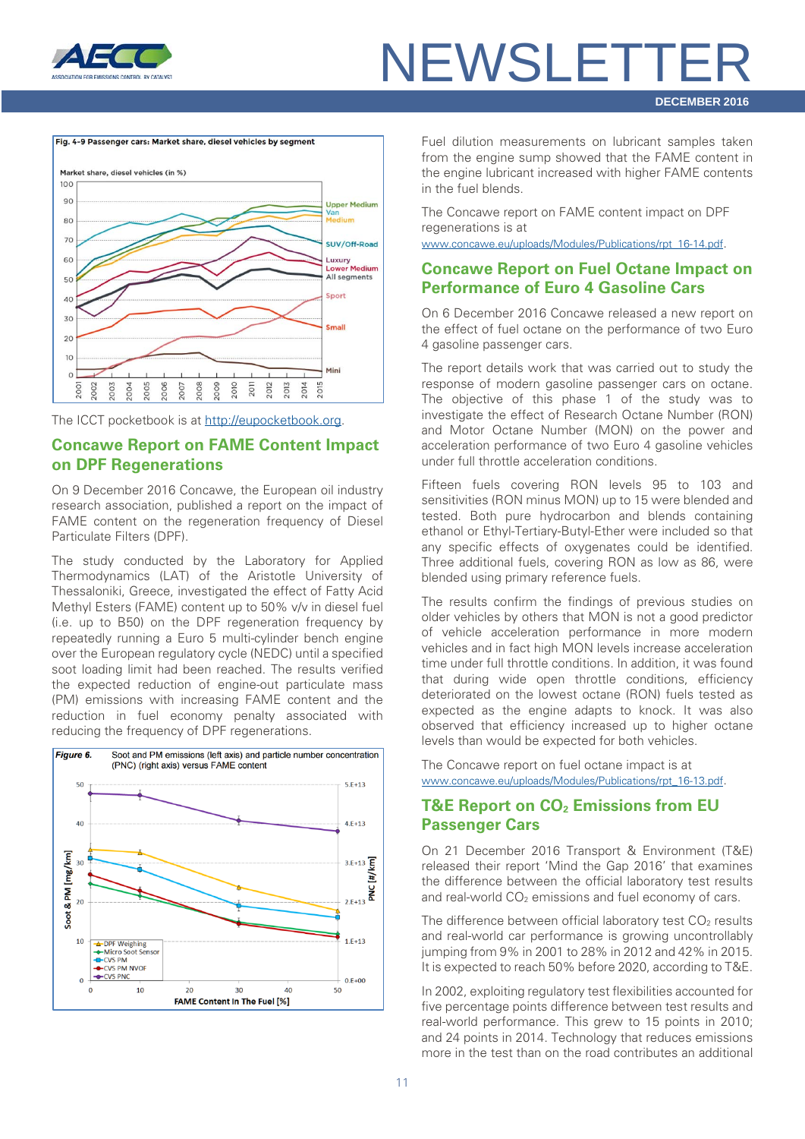



The ICCT pocketbook is at [http://eupocketbook.org.](http://eupocketbook.org/)

#### <span id="page-10-0"></span>**Concawe Report on FAME Content Impact on DPF Regenerations**

On 9 December 2016 Concawe, the European oil industry research association, published a report on the impact of FAME content on the regeneration frequency of Diesel Particulate Filters (DPF).

The study conducted by the Laboratory for Applied Thermodynamics (LAT) of the Aristotle University of Thessaloniki, Greece, investigated the effect of Fatty Acid Methyl Esters (FAME) content up to 50% v/v in diesel fuel (i.e. up to B50) on the DPF regeneration frequency by repeatedly running a Euro 5 multi-cylinder bench engine over the European regulatory cycle (NEDC) until a specified soot loading limit had been reached. The results verified the expected reduction of engine-out particulate mass (PM) emissions with increasing FAME content and the reduction in fuel economy penalty associated with reducing the frequency of DPF regenerations.



Fuel dilution measurements on lubricant samples taken from the engine sump showed that the FAME content in the engine lubricant increased with higher FAME contents in the fuel blends.

The Concawe report on FAME content impact on DPF regenerations is at

[www.concawe.eu/uploads/Modules/Publications/rpt\\_16-14.pdf.](http://www.concawe.eu/uploads/Modules/Publications/rpt_16-14.pdf)

#### <span id="page-10-1"></span>**Concawe Report on Fuel Octane Impact on Performance of Euro 4 Gasoline Cars**

On 6 December 2016 Concawe released a new report on the effect of fuel octane on the performance of two Euro 4 gasoline passenger cars.

The report details work that was carried out to study the response of modern gasoline passenger cars on octane. The objective of this phase 1 of the study was to investigate the effect of Research Octane Number (RON) and Motor Octane Number (MON) on the power and acceleration performance of two Euro 4 gasoline vehicles under full throttle acceleration conditions.

Fifteen fuels covering RON levels 95 to 103 and sensitivities (RON minus MON) up to 15 were blended and tested. Both pure hydrocarbon and blends containing ethanol or Ethyl-Tertiary-Butyl-Ether were included so that any specific effects of oxygenates could be identified. Three additional fuels, covering RON as low as 86, were blended using primary reference fuels.

The results confirm the findings of previous studies on older vehicles by others that MON is not a good predictor of vehicle acceleration performance in more modern vehicles and in fact high MON levels increase acceleration time under full throttle conditions. In addition, it was found that during wide open throttle conditions, efficiency deteriorated on the lowest octane (RON) fuels tested as expected as the engine adapts to knock. It was also observed that efficiency increased up to higher octane levels than would be expected for both vehicles.

The Concawe report on fuel octane impact is at [www.concawe.eu/uploads/Modules/Publications/rpt\\_16-13.pdf.](http://www.concawe.eu/uploads/Modules/Publications/rpt_16-13.pdf)

#### <span id="page-10-2"></span>**T&E Report on CO<sub>2</sub> Emissions from EU Passenger Cars**

On 21 December 2016 Transport & Environment (T&E) released their report 'Mind the Gap 2016' that examines the difference between the official laboratory test results and real-world  $CO<sub>2</sub>$  emissions and fuel economy of cars.

The difference between official laboratory test  $CO<sub>2</sub>$  results and real-world car performance is growing uncontrollably jumping from 9% in 2001 to 28% in 2012 and 42% in 2015. It is expected to reach 50% before 2020, according to T&E.

In 2002, exploiting regulatory test flexibilities accounted for five percentage points difference between test results and real-world performance. This grew to 15 points in 2010; and 24 points in 2014. Technology that reduces emissions more in the test than on the road contributes an additional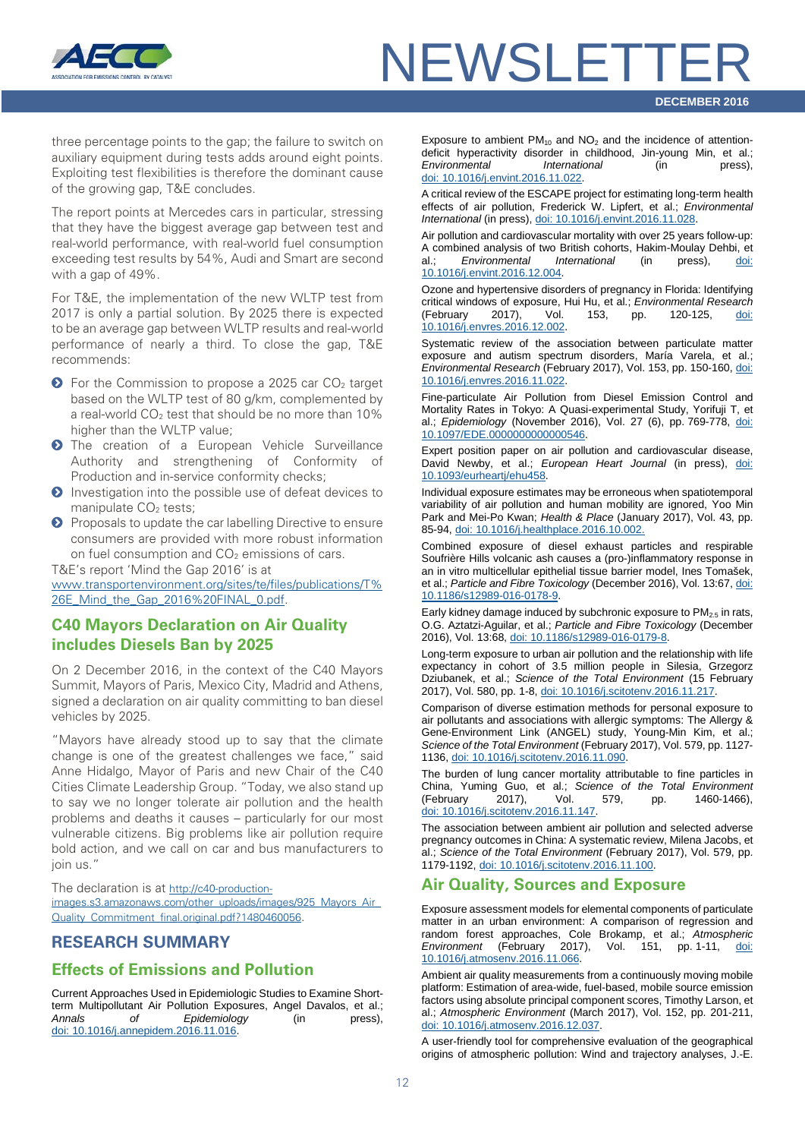

three percentage points to the gap; the failure to switch on auxiliary equipment during tests adds around eight points. Exploiting test flexibilities is therefore the dominant cause of the growing gap, T&E concludes.

The report points at Mercedes cars in particular, stressing that they have the biggest average gap between test and real-world performance, with real-world fuel consumption exceeding test results by 54%, Audi and Smart are second with a gap of 49%.

For T&E, the implementation of the new WLTP test from 2017 is only a partial solution. By 2025 there is expected to be an average gap between WLTP results and real-world performance of nearly a third. To close the gap, T&E recommends:

- $\bullet$  For the Commission to propose a 2025 car CO<sub>2</sub> target based on the WLTP test of 80 g/km, complemented by a real-world  $CO<sub>2</sub>$  test that should be no more than 10% higher than the WLTP value:
- **O** The creation of a European Vehicle Surveillance Authority and strengthening of Conformity of Production and in-service conformity checks;
- **O** Investigation into the possible use of defeat devices to manipulate CO<sub>2</sub> tests;
- **O** Proposals to update the car labelling Directive to ensure consumers are provided with more robust information on fuel consumption and  $CO<sub>2</sub>$  emissions of cars.

T&E's report 'Mind the Gap 2016' is at

[www.transportenvironment.org/sites/te/files/publications/T%](http://www.transportenvironment.org/sites/te/files/publications/T%26E_Mind_the_Gap_2016%20FINAL_0.pdf) [26E\\_Mind\\_the\\_Gap\\_2016%20FINAL\\_0.pdf.](http://www.transportenvironment.org/sites/te/files/publications/T%26E_Mind_the_Gap_2016%20FINAL_0.pdf)

#### <span id="page-11-0"></span>**C40 Mayors Declaration on Air Quality includes Diesels Ban by 2025**

On 2 December 2016, in the context of the C40 Mayors Summit, Mayors of Paris, Mexico City, Madrid and Athens, signed a declaration on air quality committing to ban diesel vehicles by 2025.

"Mayors have already stood up to say that the climate change is one of the greatest challenges we face," said Anne Hidalgo, Mayor of Paris and new Chair of the C40 Cities Climate Leadership Group. "Today, we also stand up to say we no longer tolerate air pollution and the health problems and deaths it causes – particularly for our most vulnerable citizens. Big problems like air pollution require bold action, and we call on car and bus manufacturers to join us."

The declaration is at [http://c40-production](http://c40-production-images.s3.amazonaws.com/other_uploads/images/925_Mayors_Air_Quality_Commitment_final.original.pdf?1480460056)[images.s3.amazonaws.com/other\\_uploads/images/925\\_Mayors\\_Air\\_](http://c40-production-images.s3.amazonaws.com/other_uploads/images/925_Mayors_Air_Quality_Commitment_final.original.pdf?1480460056) [Quality\\_Commitment\\_final.original.pdf?1480460056.](http://c40-production-images.s3.amazonaws.com/other_uploads/images/925_Mayors_Air_Quality_Commitment_final.original.pdf?1480460056)

#### <span id="page-11-1"></span>**RESEARCH SUMMARY**

#### **Effects of Emissions and Pollution**

Current Approaches Used in Epidemiologic Studies to Examine Shortterm Multipollutant Air Pollution Exposures, Angel Davalos, et al.;<br>Annals of Foidemiology (in press). *Annals of Epidemiology* (in press), [doi: 10.1016/j.annepidem.2016.11.016.](http://dx.doi.org/10.1016/j.annepidem.2016.11.016)

Exposure to ambient  $PM_{10}$  and  $NO_2$  and the incidence of attentiondeficit hyperactivity disorder in childhood, Jin-young Min, et al.; *Environmental International* (in press), [doi: 10.1016/j.envint.2016.11.022.](http://dx.doi.org/10.1016/j.envint.2016.11.022)

A critical review of the ESCAPE project for estimating long-term health effects of air pollution, Frederick W. Lipfert, et al.; *Environmental International* (in press), [doi: 10.1016/j.envint.2016.11.028.](http://dx.doi.org/10.1016/j.envint.2016.11.028)

Air pollution and cardiovascular mortality with over 25 years follow-up: A combined analysis of two British cohorts, Hakim-Moulay Dehbi, et al.; *Environmental International* (in press), [10.1016/j.envint.2016.12.004.](http://dx.doi.org/10.1016/j.envint.2016.12.004)

Ozone and hypertensive disorders of pregnancy in Florida: Identifying critical windows of exposure, Hui Hu, et al.; *Environmental Research* (February 2017), Vol. 153, pp. 120-125, doi: [10.1016/j.envres.2016.12.002.](http://dx.doi.org/10.1016/j.envres.2016.12.002)

Systematic review of the association between particulate matter exposure and autism spectrum disorders, María Varela, et al.; *Environmental Research* (February 2017), Vol. 153, pp. 150-160[, doi:](http://dx.doi.org/10.1016/j.envres.2016.11.022)  [10.1016/j.envres.2016.11.022.](http://dx.doi.org/10.1016/j.envres.2016.11.022)

Fine-particulate Air Pollution from Diesel Emission Control and Mortality Rates in Tokyo: A Quasi-experimental Study, Yorifuji T, et al.; *Epidemiology* (November 2016), Vol. 27 (6), pp. 769-778, [doi:](https://www.ncbi.nlm.nih.gov/pubmed/27479647)  [10.1097/EDE.0000000000000546.](https://www.ncbi.nlm.nih.gov/pubmed/27479647)

Expert position paper on air pollution and cardiovascular disease, David Newby, et al.; *European Heart Journal* (in press), [doi:](http://dx.doi.org/10.1093/eurheartj/ehu458)  [10.1093/eurheartj/ehu458.](http://dx.doi.org/10.1093/eurheartj/ehu458)

Individual exposure estimates may be erroneous when spatiotemporal variability of air pollution and human mobility are ignored, Yoo Min Park and Mei-Po Kwan; *Health & Place* (January 2017), Vol. 43, pp. 85-94, [doi: 10.1016/j.healthplace.2016.10.002.](http://dx.doi.org/10.1016/j.healthplace.2016.10.002)

Combined exposure of diesel exhaust particles and respirable Soufrière Hills volcanic ash causes a (pro-)inflammatory response in an in vitro multicellular epithelial tissue barrier model, Ines Tomašek, et al.; *Particle and Fibre Toxicology* (December 2016), Vol. 13:67[, doi:](http://dx.doi.org/10.1186/s12989-016-0178-9)  [10.1186/s12989-016-0178-9.](http://dx.doi.org/10.1186/s12989-016-0178-9)

Early kidney damage induced by subchronic exposure to  $PM_{2.5}$  in rats, O.G. Aztatzi-Aguilar, et al.; *Particle and Fibre Toxicology* (December 2016), Vol. 13:68[, doi: 10.1186/s12989-016-0179-8.](http://dx.doi.org/10.1186/s12989-016-0179-8)

Long-term exposure to urban air pollution and the relationship with life expectancy in cohort of 3.5 million people in Silesia, Grzegorz Dziubanek, et al.; *Science of the Total Environment* (15 February 2017), Vol. 580, pp. 1-8, [doi: 10.1016/j.scitotenv.2016.11.217.](http://dx.doi.org/10.1016/j.scitotenv.2016.11.217)

Comparison of diverse estimation methods for personal exposure to air pollutants and associations with allergic symptoms: The Allergy & Gene-Environment Link (ANGEL) study, Young-Min Kim, et al.; *Science of the Total Environment* (February 2017), Vol. 579, pp. 1127- 1136, [doi: 10.1016/j.scitotenv.2016.11.090.](http://dx.doi.org/10.1016/j.scitotenv.2016.11.090)

The burden of lung cancer mortality attributable to fine particles in China, Yuming Guo, et al.; *Science of the Total Environment* (February 2017), Vol. 579, pp. 1460-1466), [doi: 10.1016/j.scitotenv.2016.11.147.](http://dx.doi.org/10.1016/j.scitotenv.2016.11.147)

The association between ambient air pollution and selected adverse pregnancy outcomes in China: A systematic review, Milena Jacobs, et al.; *Science of the Total Environment* (February 2017), Vol. 579, pp. 1179-1192, [doi: 10.1016/j.scitotenv.2016.11.100.](http://dx.doi.org/10.1016/j.scitotenv.2016.11.100)

#### **Air Quality, Sources and Exposure**

Exposure assessment models for elemental components of particulate matter in an urban environment: A comparison of regression and random forest approaches, Cole Brokamp, et al.; *Atmospheric Environment* (February 2017), Vol. 151, pp. 1-11, [doi:](http://dx.doi.org/10.1016/j.atmosenv.2016.11.066)  [10.1016/j.atmosenv.2016.11.066.](http://dx.doi.org/10.1016/j.atmosenv.2016.11.066)

Ambient air quality measurements from a continuously moving mobile platform: Estimation of area-wide, fuel-based, mobile source emission factors using absolute principal component scores, Timothy Larson, et al.; *Atmospheric Environment* (March 2017), Vol. 152, pp. 201-211, [doi: 10.1016/j.atmosenv.2016.12.037.](http://dx.doi.org/10.1016/j.atmosenv.2016.12.037)

A user-friendly tool for comprehensive evaluation of the geographical origins of atmospheric pollution: Wind and trajectory analyses, J.-E.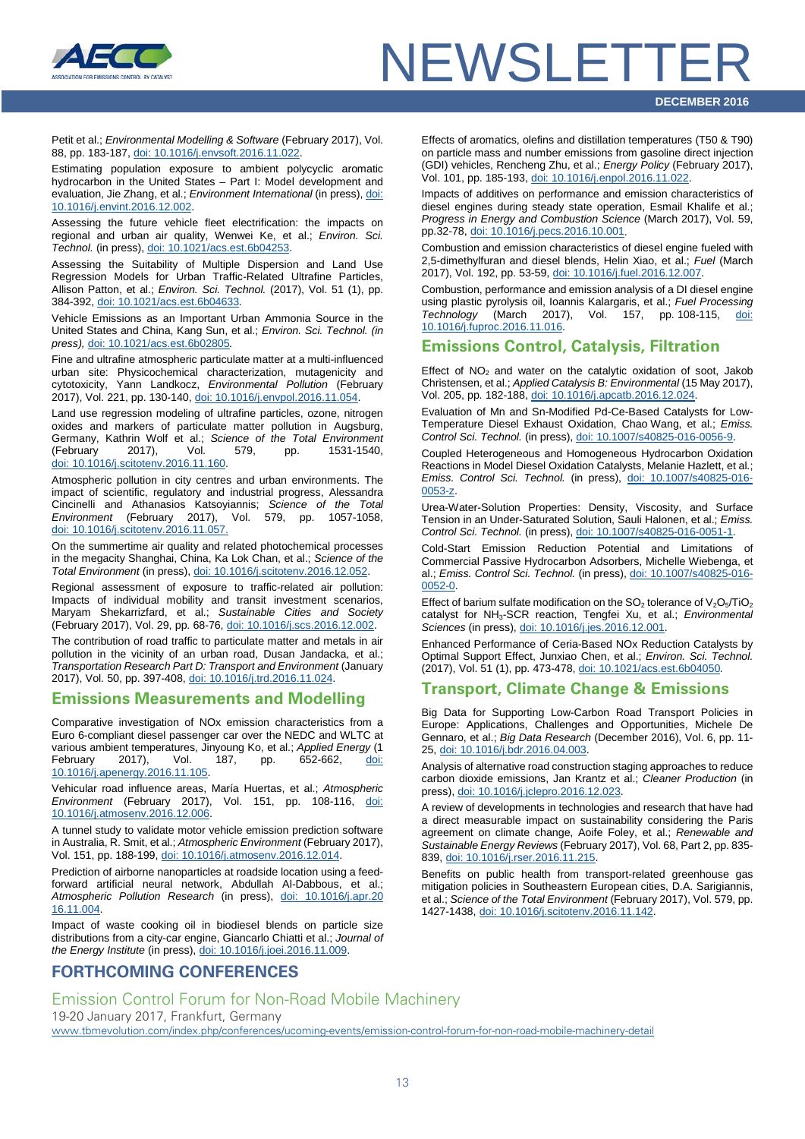

Petit et al.; *Environmental Modelling & Software* (February 2017), Vol. 88, pp. 183-187[, doi: 10.1016/j.envsoft.2016.11.022.](http://dx.doi.org/10.1016/j.envsoft.2016.11.022)

Estimating population exposure to ambient polycyclic aromatic hydrocarbon in the United States – Part I: Model development and evaluation, Jie Zhang, et al.; *Environment International* (in press)[, doi:](http://dx.doi.org/10.1016/j.envint.2016.12.002)  [10.1016/j.envint.2016.12.002.](http://dx.doi.org/10.1016/j.envint.2016.12.002)

Assessing the future vehicle fleet electrification: the impacts on regional and urban air quality, Wenwei Ke, et al.; *Environ. Sci. Technol.* (in press), [doi: 10.1021/acs.est.6b04253.](http://dx.doi.org/10.1021/acs.est.6b04253)

Assessing the Suitability of Multiple Dispersion and Land Use Regression Models for Urban Traffic-Related Ultrafine Particles, Allison Patton, et al.; *Environ. Sci. Technol.* (2017), Vol. 51 (1), pp. 384-392, [doi: 10.1021/acs.est.6b04633](http://dx.doi.org/10.1021/acs.est.6b04633)*.*

Vehicle Emissions as an Important Urban Ammonia Source in the United States and China, Kang Sun, et al.; *Environ. Sci. Technol. (in press),* [doi: 10.1021/acs.est.6b02805](http://dx.doi.org/10.1021/acs.est.6b02805)*.*

Fine and ultrafine atmospheric particulate matter at a multi-influenced urban site: Physicochemical characterization, mutagenicity and cytotoxicity, Yann Landkocz, *Environmental Pollution* (February 2017), Vol. 221, pp. 130-140, [doi: 10.1016/j.envpol.2016.11.054.](http://dx.doi.org/10.1016/j.envpol.2016.11.054)

Land use regression modeling of ultrafine particles, ozone, nitrogen oxides and markers of particulate matter pollution in Augsburg, Germany, Kathrin Wolf et al.; *Science of the Total Environment* (February 2017), Vol. 579, pp. 1531-1540, [doi: 10.1016/j.scitotenv.2016.11.160.](http://dx.doi.org/10.1016/j.scitotenv.2016.11.160)

Atmospheric pollution in city centres and urban environments. The impact of scientific, regulatory and industrial progress, Alessandra Cincinelli and Athanasios Katsoyiannis; *Science of the Total Environment* (February 2017), Vol. 579, pp. 1057-1058, [doi: 10.1016/j.scitotenv.2016.11.057.](http://dx.doi.org/10.1016/j.scitotenv.2016.11.057)

On the summertime air quality and related photochemical processes in the megacity Shanghai, China, Ka Lok Chan, et al.; *Science of the Total Environment* (in press)[, doi: 10.1016/j.scitotenv.2016.12.052.](http://dx.doi.org/10.1016/j.scitotenv.2016.12.052)

Regional assessment of exposure to traffic-related air pollution: Impacts of individual mobility and transit investment scenarios, Maryam Shekarrizfard, et al.; *Sustainable Cities and Society* (February 2017), Vol. 29, pp. 68-76[, doi: 10.1016/j.scs.2016.12.002.](http://dx.doi.org/10.1016/j.scs.2016.12.002)

The contribution of road traffic to particulate matter and metals in air pollution in the vicinity of an urban road, Dusan Jandacka, et al.; *Transportation Research Part D: Transport and Environment* (January 2017), Vol. 50, pp. 397-408[, doi: 10.1016/j.trd.2016.11.024.](http://dx.doi.org/10.1016/j.trd.2016.11.024)

#### **Emissions Measurements and Modelling**

Comparative investigation of NOx emission characteristics from a Euro 6-compliant diesel passenger car over the NEDC and WLTC at various ambient temperatures, Jinyoung Ko, et al.; *Applied Energy* (1 pp. 652-662, doi: [10.1016/j.apenergy.2016.11.105.](http://dx.doi.org/10.1016/j.apenergy.2016.11.105)

Vehicular road influence areas, María Huertas, et al.; *Atmospheric Environment* (February 2017), Vol. 151, pp. 108-116, [doi:](http://dx.doi.org/10.1016/j.atmosenv.2016.12.006)  [10.1016/j.atmosenv.2016.12.006.](http://dx.doi.org/10.1016/j.atmosenv.2016.12.006)

A tunnel study to validate motor vehicle emission prediction software in Australia, R. Smit, et al.; *Atmospheric Environment* (February 2017), Vol. 151, pp. 188-199[, doi: 10.1016/j.atmosenv.2016.12.014.](http://dx.doi.org/10.1016/j.atmosenv.2016.12.014)

Prediction of airborne nanoparticles at roadside location using a feedforward artificial neural network, Abdullah Al-Dabbous, et al.; *Atmospheric Pollution Research* (in press), [doi: 10.1016/j.apr.20](http://dx.doi.org/10.1016/j.apr.2016.11.004) [16.11.004.](http://dx.doi.org/10.1016/j.apr.2016.11.004)

Impact of waste cooking oil in biodiesel blends on particle size distributions from a city-car engine, Giancarlo Chiatti et al.; *Journal of the Energy Institute* (in press)[, doi: 10.1016/j.joei.2016.11.009.](http://dx.doi.org/10.1016/j.joei.2016.11.009)

#### <span id="page-12-0"></span>**FORTHCOMING CONFERENCES**

Effects of aromatics, olefins and distillation temperatures (T50 & T90) on particle mass and number emissions from gasoline direct injection (GDI) vehicles, Rencheng Zhu, et al.; *Energy Policy* (February 2017), Vol. 101, pp. 185-193, [doi: 10.1016/j.enpol.2016.11.022.](http://dx.doi.org/10.1016/j.enpol.2016.11.022)

Impacts of additives on performance and emission characteristics of diesel engines during steady state operation, Esmail Khalife et al.; *Progress in Energy and Combustion Science* (March 2017), Vol. 59, pp.32-78, [doi: 10.1016/j.pecs.2016.10.001.](http://dx.doi.org/10.1016/j.pecs.2016.10.001)

Combustion and emission characteristics of diesel engine fueled with 2,5-dimethylfuran and diesel blends, Helin Xiao, et al.; *Fuel* (March 2017), Vol. 192, pp. 53-59, [doi: 10.1016/j.fuel.2016.12.007.](http://dx.doi.org/10.1016/j.fuel.2016.12.007)

Combustion, performance and emission analysis of a DI diesel engine using plastic pyrolysis oil, Ioannis Kalargaris, et al.; *Fuel Processing Technology* (March 2017), Vol. 157, pp. 108-115, [10.1016/j.fuproc.2016.11.016.](http://dx.doi.org/10.1016/j.fuproc.2016.11.016)

#### **Emissions Control, Catalysis, Filtration**

Effect of  $NO<sub>2</sub>$  and water on the catalytic oxidation of soot, Jakob Christensen, et al.; *Applied Catalysis B: Environmental* (15 May 2017), Vol. 205, pp. 182-188, [doi: 10.1016/j.apcatb.2016.12.024.](http://dx.doi.org/10.1016/j.apcatb.2016.12.024)

Evaluation of Mn and Sn-Modified Pd-Ce-Based Catalysts for Low-Temperature Diesel Exhaust Oxidation, Chao Wang, et al.; *Emiss. Control Sci. Technol.* (in press), [doi: 10.1007/s40825-016-0056-9.](http://dx.doi.org/10.1007/s40825-016-0056-9)

Coupled Heterogeneous and Homogeneous Hydrocarbon Oxidation Reactions in Model Diesel Oxidation Catalysts, Melanie Hazlett, et al.; *Emiss. Control Sci. Technol.* (in press), [doi: 10.1007/s40825-016-](http://dx.doi.org/10.1007/s40825-016-0053-z) [0053-z.](http://dx.doi.org/10.1007/s40825-016-0053-z)

Urea-Water-Solution Properties: Density, Viscosity, and Surface Tension in an Under-Saturated Solution, Sauli Halonen, et al.; *Emiss. Control Sci. Technol.* (in press)[, doi: 10.1007/s40825-016-0051-1.](http://dx.doi.org/10.1007/s40825-016-0051-1)

Cold-Start Emission Reduction Potential and Limitations of Commercial Passive Hydrocarbon Adsorbers, Michelle Wiebenga, et al.; *Emiss. Control Sci. Technol.* (in press), [doi: 10.1007/s40825-016-](http://dx.doi.org/10.1007/s40825-016-0052-0) [0052-0.](http://dx.doi.org/10.1007/s40825-016-0052-0)

Effect of barium sulfate modification on the  $SO_2$  tolerance of  $V_2O_5/TiO_2$ catalyst for NH3-SCR reaction, Tengfei Xu, et al.; *Environmental Sciences* (in press)[, doi: 10.1016/j.jes.2016.12.001.](http://dx.doi.org/10.1016/j.jes.2016.12.001)

Enhanced Performance of Ceria-Based NOx Reduction Catalysts by Optimal Support Effect, Junxiao Chen, et al.; *Environ. Sci. Technol.*  (2017), Vol. 51 (1), pp. 473-478, [doi: 10.1021/acs.est.6b04050](http://dx.doi.org/10.1021/acs.est.6b04050)*.*

#### **Transport, Climate Change & Emissions**

Big Data for Supporting Low-Carbon Road Transport Policies in Europe: Applications, Challenges and Opportunities, Michele De Gennaro, et al.; *Big Data Research* (December 2016), Vol. 6, pp. 11- 25, [doi: 10.1016/j.bdr.2016.04.003.](http://dx.doi.org/10.1016/j.bdr.2016.04.003)

Analysis of alternative road construction staging approaches to reduce carbon dioxide emissions, Jan Krantz et al.; *Cleaner Production* (in press)[, doi: 10.1016/j.jclepro.2016.12.023.](http://dx.doi.org/10.1016/j.jclepro.2016.12.023)

A review of developments in technologies and research that have had a direct measurable impact on sustainability considering the Paris agreement on climate change, Aoife Foley, et al.; *Renewable and Sustainable Energy Reviews* (February 2017), Vol. 68, Part 2, pp. 835- 839[, doi: 10.1016/j.rser.2016.11.215.](http://dx.doi.org/10.1016/j.rser.2016.11.215)

Benefits on public health from transport-related greenhouse gas mitigation policies in Southeastern European cities, D.A. Sarigiannis, et al.; *Science of the Total Environment* (February 2017), Vol. 579, pp. 1427-1438[, doi: 10.1016/j.scitotenv.2016.11.142.](http://dx.doi.org/10.1016/j.scitotenv.2016.11.142)

Emission Control Forum for Non-Road Mobile Machinery 19-20 January 2017, Frankfurt, Germany [www.tbmevolution.com/index.php/conferences/ucoming-events/emission-control-forum-for-non-road-mobile-machinery-detail](http://www.tbmevolution.com/index.php/conferences/ucoming-events/emission-control-forum-for-non-road-mobile-machinery-detail)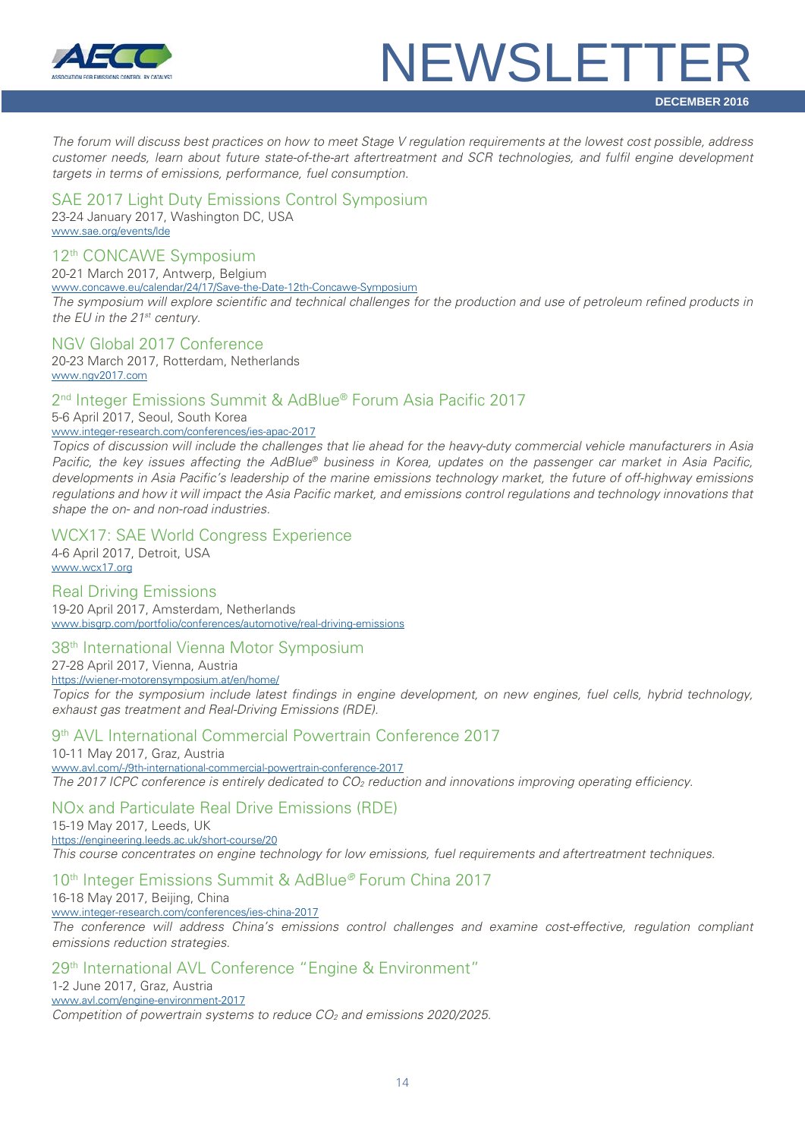

*The forum will discuss best practices on how to meet Stage V regulation requirements at the lowest cost possible, address customer needs, learn about future state-of-the-art aftertreatment and SCR technologies, and fulfil engine development targets in terms of emissions, performance, fuel consumption.*

#### SAE 2017 Light Duty Emissions Control Symposium

23-24 January 2017, Washington DC, USA [www.sae.org/events/lde](http://www.sae.org/events/lde)

#### 12th CONCAWE Symposium

20-21 March 2017, Antwerp, Belgium

[www.concawe.eu/calendar/24/17/Save-the-Date-12th-Concawe-Symposium](http://www.concawe.eu/calendar/24/17/Save-the-Date-12th-Concawe-Symposium)

*The symposium will explore scientific and technical challenges for the production and use of petroleum refined products in the EU in the 21st century.*

#### NGV Global 2017 Conference

20-23 March 2017, Rotterdam, Netherlands [www.ngv2017.com](http://www.ngv2017.com/) 

#### 2<sup>nd</sup> Integer Emissions Summit & AdBlue® Forum Asia Pacific 2017

5-6 April 2017, Seoul, South Korea [www.integer-research.com/conferences/ies-apac-2017](http://www.integer-research.com/conferences/ies-apac-2017)

*Topics of discussion will include the challenges that lie ahead for the heavy-duty commercial vehicle manufacturers in Asia Pacific, the key issues affecting the AdBlue® business in Korea, updates on the passenger car market in Asia Pacific, developments in Asia Pacific's leadership of the marine emissions technology market, the future of off-highway emissions regulations and how it will impact the Asia Pacific market, and emissions control regulations and technology innovations that shape the on- and non-road industries.*

#### WCX17: SAE World Congress Experience

4-6 April 2017, Detroit, USA [www.wcx17.org](http://www.wcx17.org/) 

Real Driving Emissions 19-20 April 2017, Amsterdam, Netherlands [www.bisgrp.com/portfolio/conferences/automotive/real-driving-emissions](http://www.bisgrp.com/portfolio/conferences/automotive/real-driving-emissions)

#### 38<sup>th</sup> International Vienna Motor Symposium

27-28 April 2017, Vienna, Austria <https://wiener-motorensymposium.at/en/home/> *Topics for the symposium include latest findings in engine development, on new engines, fuel cells, hybrid technology, exhaust gas treatment and Real-Driving Emissions (RDE).*

#### 9<sup>th</sup> AVL International Commercial Powertrain Conference 2017

10-11 May 2017, Graz, Austria [www.avl.com/-/9th-international-commercial-powertrain-conference-2017](http://www.avl.com/-/9th-international-commercial-powertrain-conference-2017) *The 2017 ICPC conference is entirely dedicated to CO2 reduction and innovations improving operating efficiency.*

#### NOx and Particulate Real Drive Emissions (RDE)

15-19 May 2017, Leeds, UK

<https://engineering.leeds.ac.uk/short-course/20>

*This course concentrates on engine technology for low emissions, fuel requirements and aftertreatment techniques.*

#### 10th Integer Emissions Summit & AdBlue*®* Forum China 2017

16-18 May 2017, Beijing, China [www.integer-research.com/conferences/ies-china-2017](http://www.integer-research.com/conferences/ies-china-2017)

*The conference will address China's emissions control challenges and examine cost-effective, regulation compliant emissions reduction strategies.*

#### 29th International AVL Conference "Engine & Environment"

1-2 June 2017, Graz, Austria

[www.avl.com/engine-environment-2017](http://www.avl.com/engine-environment-2017)

*Competition of powertrain systems to reduce CO2 and emissions 2020/2025.*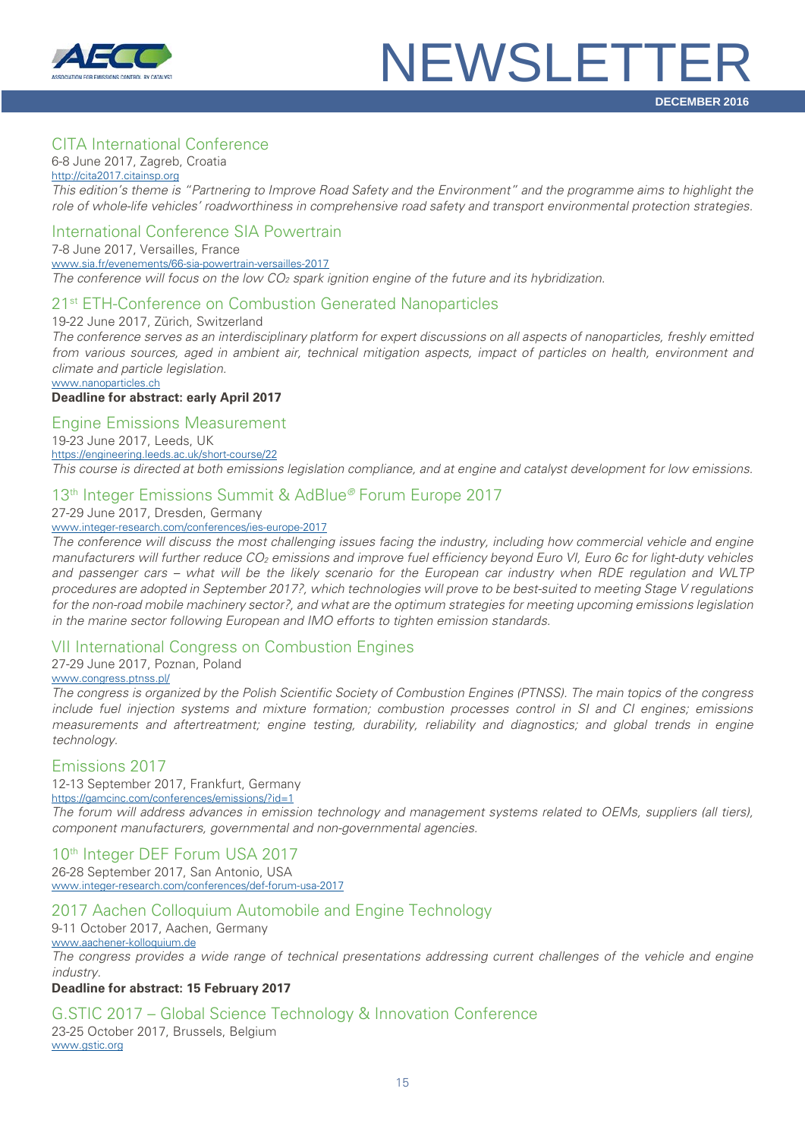

#### CITA International Conference

6-8 June 2017, Zagreb, Croatia

[http://cita2017.citainsp.org](http://cita2017.citainsp.org/) *This edition's theme is "Partnering to Improve Road Safety and the Environment" and the programme aims to highlight the role of whole-life vehicles' roadworthiness in comprehensive road safety and transport environmental protection strategies.*

#### International Conference SIA Powertrain

7-8 June 2017, Versailles, France [www.sia.fr/evenements/66-sia-powertrain-versailles-2017](http://www.sia.fr/evenements/66-sia-powertrain-versailles-2017) *The conference will focus on the low CO2 spark ignition engine of the future and its hybridization.*

#### 21st ETH-Conference on Combustion Generated Nanoparticles

19-22 June 2017, Zürich, Switzerland

*The conference serves as an interdisciplinary platform for expert discussions on all aspects of nanoparticles, freshly emitted from various sources, aged in ambient air, technical mitigation aspects, impact of particles on health, environment and climate and particle legislation.*

[www.nanoparticles.ch](http://www.nanoparticles.ch/)

#### **Deadline for abstract: early April 2017**

Engine Emissions Measurement

19-23 June 2017, Leeds, UK <https://engineering.leeds.ac.uk/short-course/22> *This course is directed at both emissions legislation compliance, and at engine and catalyst development for low emissions.*

#### 13th Integer Emissions Summit & AdBlue*®* Forum Europe 2017

27-29 June 2017, Dresden, Germany

#### [www.integer-research.com/conferences/ies-europe-2017](http://www.integer-research.com/conferences/ies-europe-2017)

*The conference will discuss the most challenging issues facing the industry, including how commercial vehicle and engine manufacturers will further reduce CO2 emissions and improve fuel efficiency beyond Euro VI, Euro 6c for light-duty vehicles and passenger cars – what will be the likely scenario for the European car industry when RDE regulation and WLTP procedures are adopted in September 2017?, which technologies will prove to be best-suited to meeting Stage V regulations for the non-road mobile machinery sector?, and what are the optimum strategies for meeting upcoming emissions legislation in the marine sector following European and IMO efforts to tighten emission standards.*

#### VII International Congress on Combustion Engines

27-29 June 2017, Poznan, Poland

[www.congress.ptnss.pl/](http://www.congress.ptnss.pl/)

*The congress is organized by the Polish Scientific Society of Combustion Engines (PTNSS). The main topics of the congress include fuel injection systems and mixture formation; combustion processes control in SI and CI engines; emissions measurements and aftertreatment; engine testing, durability, reliability and diagnostics; and global trends in engine technology.*

#### Emissions 2017

12-13 September 2017, Frankfurt, Germany

<https://gamcinc.com/conferences/emissions/?id=1>

*The forum will address advances in emission technology and management systems related to OEMs, suppliers (all tiers), component manufacturers, governmental and non-governmental agencies.*

#### 10<sup>th</sup> Integer DEF Forum USA 2017

26-28 September 2017, San Antonio, USA [www.integer-research.com/conferences/def-forum-usa-2017](http://www.integer-research.com/conferences/def-forum-usa-2017)

#### 2017 Aachen Colloquium Automobile and Engine Technology

9-11 October 2017, Aachen, Germany [www.aachener-kolloquium.de](http://www.aachener-kolloquium.de/) *The congress provides a wide range of technical presentations addressing current challenges of the vehicle and engine industry.*

#### **Deadline for abstract: 15 February 2017**

#### G.STIC 2017 – Global Science Technology & Innovation Conference

23-25 October 2017, Brussels, Belgium [www.gstic.org](http://www.gstic.org/)